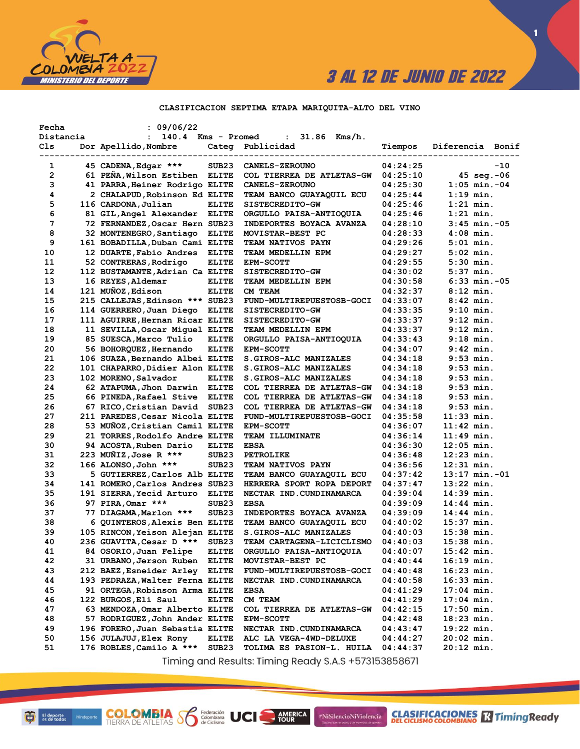

**1**

## **CLASIFICACION SEPTIMA ETAPA MARIQUITA-ALTO DEL VINO**

| Fecha        | : 09/06/22                      |                   |                                  |          |                       |       |
|--------------|---------------------------------|-------------------|----------------------------------|----------|-----------------------|-------|
| Distancia    | : 140.4 Kms - Promed            |                   | $31.86$ Kms/h.<br>$\mathbf{1}$   |          |                       |       |
| Cls          | Dor Apellido, Nombre            | ----------------- | Categ Publicidad                 | Tiempos  | Diferencia Bonif      |       |
| 1            | 45 CADENA, Edgar ***            | SUB <sub>23</sub> | <b>CANELS-ZEROUNO</b>            | 04:24:25 |                       | $-10$ |
| $\mathbf{2}$ | 61 PEÑA, Wilson Estiben ELITE   |                   | COL TIERREA DE ATLETAS-GW        | 04:25:10 | $45 \text{ seq.} -06$ |       |
| з            | 41 PARRA, Heiner Rodrigo ELITE  |                   | <b>CANELS-ZEROUNO</b>            | 04:25:30 | $1:05$ min.-04        |       |
| 4            | 2 CHALAPUD, Robinson Ed ELITE   |                   | <b>TEAM BANCO GUAYAQUIL ECU</b>  | 04:25:44 | $1:19$ min.           |       |
| 5            | 116 CARDONA, Julian             | <b>ELITE</b>      | <b>SISTECREDITO-GW</b>           | 04:25:46 | $1:21$ min.           |       |
| 6            | 81 GIL, Angel Alexander ELITE   |                   | ORGULLO PAISA-ANTIOQUIA          | 04:25:46 | $1:21$ min.           |       |
| 7            | 72 FERNANDEZ, Oscar Hern SUB23  |                   | INDEPORTES BOYACA AVANZA         | 04:28:10 | $3:45$ min. $-05$     |       |
| 8            | 32 MONTENEGRO, Santiago         | ELITE             | MOVISTAR-BEST PC                 | 04:28:33 | $4:08$ min.           |       |
| 9            | 161 BOBADILLA, Duban Cami ELITE |                   | <b>TEAM NATIVOS PAYN</b>         | 04:29:26 | $5:01$ min.           |       |
| 10           | 12 DUARTE, Fabio Andres         | <b>ELITE</b>      | TEAM MEDELLIN EPM                | 04:29:27 | $5:02$ min.           |       |
| 11           | 52 CONTRERAS, Rodrigo           | <b>ELITE</b>      | <b>EPM-SCOTT</b>                 | 04:29:55 | $5:30$ min.           |       |
| 12           | 112 BUSTAMANTE, Adrian Ca ELITE |                   | <b>SISTECREDITO-GW</b>           | 04:30:02 | 5:37 min.             |       |
| 13           | 16 REYES, Aldemar               | <b>ELITE</b>      | TEAM MEDELLIN EPM                | 04:30:58 | $6:33$ min. $-05$     |       |
| 14           | 121 MUÑOZ, Edison               | <b>ELITE</b>      | CM TEAM                          | 04:32:37 | $8:12$ min.           |       |
| 15           | 215 CALLEJAS, Edinson *** SUB23 |                   | <b>FUND-MULTIREPUESTOSB-GOCI</b> | 04:33:07 | $8:42$ min.           |       |
| 16           | 114 GUERRERO, Juan Diego ELITE  |                   | SISTECREDITO-GW                  | 04:33:35 | $9:10$ min.           |       |
| 17           | 111 AGUIRRE, Hernan Ricar ELITE |                   | <b>SISTECREDITO-GW</b>           | 04:33:37 | $9:12$ min.           |       |
| 18           | 11 SEVILLA, Oscar Miquel ELITE  |                   | TEAM MEDELLIN EPM                | 04:33:37 | 9:12 min.             |       |
| 19           | 85 SUESCA, Marco Tulio          | <b>ELITE</b>      | ORGULLO PAISA-ANTIOQUIA          | 04:33:43 | 9:18 min.             |       |
| 20           | 56 BOHORQUEZ, Hernando          | <b>ELITE</b>      | <b>EPM-SCOTT</b>                 | 04:34:07 | 9:42 min.             |       |
| 21           | 106 SUAZA, Bernando Albei ELITE |                   | <b>S.GIROS-ALC MANIZALES</b>     | 04:34:18 | $9:53$ min.           |       |
| 22           | 101 CHAPARRO, Didier Alon ELITE |                   | <b>S.GIROS-ALC MANIZALES</b>     | 04:34:18 | $9:53$ min.           |       |
| 23           | 102 MORENO, Salvador            | <b>ELITE</b>      | S.GIROS-ALC MANIZALES            | 04:34:18 | $9:53$ min.           |       |
| 24           | 62 ATAPUMA, Jhon Darwin         | <b>ELITE</b>      | COL TIERREA DE ATLETAS-GW        | 04:34:18 | $9:53$ min.           |       |
| 25           | 66 PINEDA, Rafael Stive         | <b>ELITE</b>      | COL TIERREA DE ATLETAS-GW        | 04:34:18 | 9:53 min.             |       |
| 26           | 67 RICO, Cristian David SUB23   |                   | COL TIERREA DE ATLETAS-GW        | 04:34:18 | $9:53$ min.           |       |
| 27           | 211 PAREDES, Cesar Nicola ELITE |                   | FUND-MULTIREPUESTOSB-GOCI        | 04:35:58 | $11:33$ min.          |       |
| 28           | 53 MUNOZ, Cristian Camil ELITE  |                   | <b>EPM-SCOTT</b>                 | 04:36:07 | $11:42$ min.          |       |
| 29           | 21 TORRES, Rodolfo Andre ELITE  |                   | <b>TEAM ILLUMINATE</b>           | 04:36:14 | $11:49$ min.          |       |
| 30           | 94 ACOSTA, Ruben Dario          | <b>ELITE</b>      | <b>EBSA</b>                      | 04:36:30 | $12:05$ min.          |       |
| 31           | 223 MUÑIZ,Jose R ***            | SUB <sub>23</sub> | <b>PETROLIKE</b>                 | 04:36:48 | $12:23$ min.          |       |
| 32           | 166 ALONSO, John ***            | SUB23             | TEAM NATIVOS PAYN                | 04:36:56 | $12:31$ min.          |       |
| 33           | 5 GUTIERREZ, Carlos Alb ELITE   |                   | <b>TEAM BANCO GUAYAQUIL ECU</b>  | 04:37:42 | $13:17$ min. $-01$    |       |
| 34           | 141 ROMERO, Carlos Andres SUB23 |                   | HERRERA SPORT ROPA DEPORT        | 04:37:47 | $13:22$ min.          |       |
| 35           | 191 SIERRA, Yecid Arturo ELITE  |                   | NECTAR IND.CUNDINAMARCA          | 04:39:04 | $14:39$ min.          |       |
| 36           | 97 PIRA, Omar ***               | SUB <sub>23</sub> | <b>EBSA</b>                      | 04:39:09 | $14:44$ min.          |       |
| 37           | 77 DIAGAMA, Marlon ***          | SUB <sub>23</sub> | INDEPORTES BOYACA AVANZA         | 04:39:09 | $14:44$ min.          |       |
| 38           | 6 QUINTEROS, Alexis Ben ELITE   |                   | TEAM BANCO GUAYAQUIL ECU         | 04:40:02 | $15:37$ min.          |       |
| 39           | 105 RINCON, Yeison Alejan ELITE |                   | S.GIROS-ALC MANIZALES            | 04:40:03 | $15:38$ min.          |       |
| 40           | 236 GUAVITA, Cesar D ***        | SUB <sub>23</sub> | <b>TEAM CARTAGENA-LICICLISMO</b> | 04:40:03 | $15:38$ min.          |       |
| 41           | 84 OSORIO, Juan Felipe          | <b>ELITE</b>      | ORGULLO PAISA-ANTIOQUIA          | 04:40:07 | $15:42$ min.          |       |
| 42           | 31 URBANO, Jerson Ruben         | <b>ELITE</b>      | MOVISTAR-BEST PC                 | 04:40:44 | $16:19$ min.          |       |
| 43           | 212 BAEZ, Esneider Arley        | <b>ELITE</b>      | FUND-MULTIREPUESTOSB-GOCI        | 04:40:48 | $16:23$ min.          |       |
| 44           | 193 PEDRAZA, Walter Ferna ELITE |                   | NECTAR IND.CUNDINAMARCA          | 04:40:58 | $16:33$ min.          |       |
| 45           | 91 ORTEGA, Robinson Arma ELITE  |                   | EBSA                             | 04:41:29 | $17:04$ min.          |       |
| 46           | 122 BURGOS, Eli Saul            | <b>ELITE</b>      | CM TEAM                          | 04:41:29 | $17:04$ min.          |       |
| 47           | 63 MENDOZA, Omar Alberto ELITE  |                   | <b>COL TIERREA DE ATLETAS-GW</b> | 04:42:15 | $17:50$ min.          |       |
| 48           | 57 RODRIGUEZ, John Ander ELITE  |                   | <b>EPM-SCOTT</b>                 | 04:42:48 | $18:23$ min.          |       |
| 49           | 196 FORERO, Juan Sebastia ELITE |                   | NECTAR IND.CUNDINAMARCA          | 04:43:47 | $19:22$ min.          |       |
| 50           | 156 JULAJUJ, Elex Rony          | <b>ELITE</b>      | ALC LA VEGA-4WD-DELUXE           | 04:44:27 | 20:02 min.            |       |
| 51           | 176 ROBLES, Camilo A ***        | SUB23             | TOLIMA ES PASION-L. HUILA        | 04:44:37 | 20:12 min.            |       |
|              |                                 |                   |                                  |          |                       |       |

Timing and Results: Timing Ready S.A.S +573153858671

AMERICA

#NiSilencioNiViolencia

Federación<br>Colombiana<br>de Ciclismo

**COLOMBIA SP**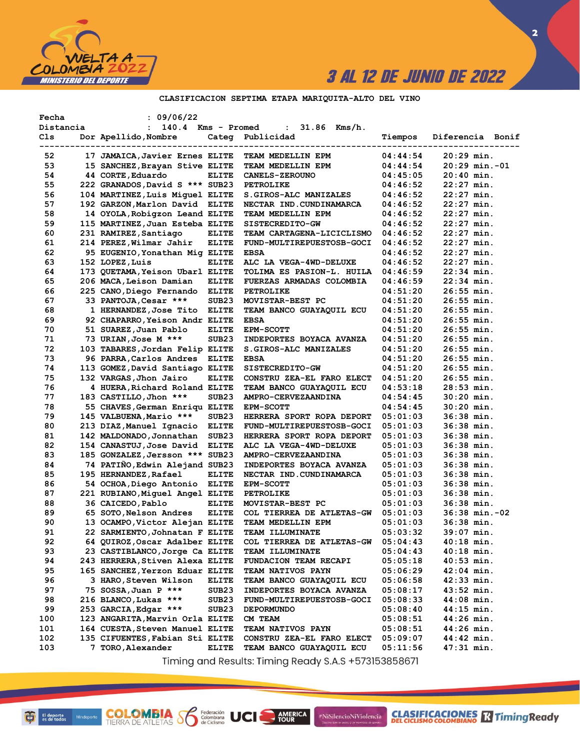

**2**

## **CLASIFICACION SEPTIMA ETAPA MARIQUITA-ALTO DEL VINO**

| Fecha     | : 09/06/22                      |                   |                            |          |                    |
|-----------|---------------------------------|-------------------|----------------------------|----------|--------------------|
| Distancia | $: 140.4$ Kms - Promed          |                   | $: 31.86$ Kms/h.           |          |                    |
| Cls       | Dor Apellido, Nombre            |                   | Categ Publicidad           | Tiempos  | Diferencia Bonif   |
|           |                                 |                   |                            |          | ---------------    |
| 52        | 17 JAMAICA, Javier Ernes ELITE  |                   | TEAM MEDELLIN EPM          | 04:44:54 | $20:29$ min.       |
| 53        | 15 SANCHEZ, Brayan Stive ELITE  |                   | TEAM MEDELLIN EPM          | 04:44:54 | $20:29$ min.-01    |
| 54        | 44 CORTE, Eduardo               | <b>ELITE</b>      | <b>CANELS-ZEROUNO</b>      | 04:45:05 | $20:40$ min.       |
| 55        | 222 GRANADOS, David S *** SUB23 |                   | <b>PETROLIKE</b>           | 04:46:52 | $22:27$ min.       |
| 56        | 104 MARTINEZ, Luis Miquel ELITE |                   | S.GIROS-ALC MANIZALES      | 04:46:52 | $22:27$ min.       |
| 57        | 192 GARZON, Marlon David ELITE  |                   | NECTAR IND. CUNDINAMARCA   | 04:46:52 | $22:27$ min.       |
| 58        | 14 OYOLA, Robigzon Leand ELITE  |                   | TEAM MEDELLIN EPM          | 04:46:52 | $22:27$ min.       |
| 59        | 115 MARTINEZ, Juan Esteba ELITE |                   | SISTECREDITO-GW            | 04:46:52 | $22:27$ min.       |
| 60        | 231 RAMIREZ, Santiago           | <b>ELITE</b>      | TEAM CARTAGENA-LICICLISMO  | 04:46:52 | $22:27$ min.       |
| 61        | 214 PEREZ,Wilmar Jahir          | <b>ELITE</b>      | FUND-MULTIREPUESTOSB-GOCI  | 04:46:52 | $22:27$ min.       |
| 62        | 95 EUGENIO, Yonathan Mig ELITE  |                   | <b>EBSA</b>                | 04:46:52 | $22:27$ min.       |
| 63        | 152 LOPEZ, Luis                 | <b>ELITE</b>      | ALC LA VEGA-4WD-DELUXE     | 04:46:52 | $22:27$ min.       |
| 64        | 173 QUETAMA, Yeison Ubarl ELITE |                   | TOLIMA ES PASION-L. HUILA  | 04:46:59 | $22:34$ min.       |
| 65        | 206 MACA, Leison Damian         | <b>ELITE</b>      | FUERZAS ARMADAS COLOMBIA   | 04:46:59 | $22:34$ min.       |
| 66        | 225 CANO, Diego Fernando ELITE  |                   | <b>PETROLIKE</b>           | 04:51:20 | $26:55$ min.       |
| 67        | 33 PANTOJA, Cesar ***           | SUB <sub>23</sub> | MOVISTAR-BEST PC           | 04:51:20 | $26:55$ min.       |
| 68        | 1 HERNANDEZ, Jose Tito ELITE    |                   | TEAM BANCO GUAYAQUIL ECU   | 04:51:20 | $26:55$ min.       |
| 69        | 92 CHAPARRO, Yeison Andr ELITE  |                   | <b>EBSA</b>                | 04:51:20 | $26:55$ min.       |
| 70        | 51 SUAREZ, Juan Pablo           | <b>ELITE</b>      | <b>EPM-SCOTT</b>           | 04:51:20 | $26:55$ min.       |
| 71        | 73 URIAN, Jose M ***            | SUB <sub>23</sub> | INDEPORTES BOYACA AVANZA   | 04:51:20 | $26:55$ min.       |
| 72        | 103 TABARES, Jordan Felip ELITE |                   | S. GIROS-ALC MANIZALES     | 04:51:20 | $26:55$ min.       |
| 73        | 96 PARRA,Carlos Andres          | <b>ELITE</b>      | <b>EBSA</b>                | 04:51:20 | $26:55$ min.       |
| 74        | 113 GOMEZ, David Santiago ELITE |                   | SISTECREDITO-GW            | 04:51:20 | $26:55$ min.       |
| 75        | 132 VARGAS, Jhon Jairo          | <b>ELITE</b>      | CONSTRU ZEA-EL FARO ELECT  | 04:51:20 | $26:55$ min.       |
| 76        | 4 HUERA, Richard Roland ELITE   |                   | TEAM BANCO GUAYAQUIL ECU   | 04:53:18 | $28:53$ min.       |
| 77        | 183 CASTILLO, Jhon ***          | SUB <sub>23</sub> | AMPRO-CERVEZAANDINA        | 04:54:45 | $30:20$ min.       |
| 78        | 55 CHAVES, German Enriqu ELITE  |                   | <b>EPM-SCOTT</b>           | 04:54:45 | $30:20$ min.       |
| 79        | 145 VALBUENA, Mario ***         | SUB <sub>23</sub> | HERRERA SPORT ROPA DEPORT  | 05:01:03 | $36:38$ min.       |
| 80        | 213 DIAZ, Manuel Ignacio ELITE  |                   | FUND-MULTIREPUESTOSB-GOCI  | 05:01:03 | 36:38 min.         |
| 81        | 142 MALDONADO, Jonnathan        | SUB <sub>23</sub> | HERRERA SPORT ROPA DEPORT  | 05:01:03 | 36:38 min.         |
| 82        | 154 CANASTUJ, Jose David        | <b>ELITE</b>      | ALC LA VEGA-4WD-DELUXE     | 05:01:03 | $36:38$ min.       |
| 83        | 185 GONZALEZ, Jersson *** SUB23 |                   | <b>AMPRO-CERVEZAANDINA</b> | 05:01:03 | $36:38$ min.       |
| 84        | 74 PATIÑO, Edwin Alejand SUB23  |                   | INDEPORTES BOYACA AVANZA   | 05:01:03 | $36:38$ min.       |
| 85        | 195 HERNANDEZ, Rafael           | <b>ELITE</b>      | NECTAR IND.CUNDINAMARCA    | 05:01:03 | $36:38$ min.       |
| 86        | 54 OCHOA,Diego Antonio ELITE    |                   | <b>EPM-SCOTT</b>           | 05:01:03 | $36:38$ min.       |
| 87        | 221 RUBIANO, Miguel Angel ELITE |                   | <b>PETROLIKE</b>           | 05:01:03 | $36:38$ min.       |
| 88        | 36 CAICEDO, Pablo               | <b>ELITE</b>      | MOVISTAR-BEST PC           | 05:01:03 | $36:38$ min.       |
| 89        | 65 SOTO, Nelson Andres          | <b>ELITE</b>      | COL TIERREA DE ATLETAS-GW  | 05:01:03 | $36:38$ min. $-02$ |
| 90        | 13 OCAMPO, Victor Alejan ELITE  |                   | TEAM MEDELLIN EPM          | 05:01:03 | $36:38$ min.       |
| 91        | 22 SARMIENTO, Johnatan F ELITE  |                   | TEAM ILLUMINATE            | 05:03:32 | $39:07$ min.       |
| 92        | 64 QUIROZ, Oscar Adalber ELITE  |                   | COL TIERREA DE ATLETAS-GW  | 05:04:43 | 40:18 min.         |
| 93        | 23 CASTIBLANCO, Jorge Ca ELITE  |                   | <b>TEAM ILLUMINATE</b>     | 05:04:43 | $40:18$ min.       |
| 94        | 243 HERRERA, Stiven Alexa ELITE |                   | FUNDACION TEAM RECAPI      | 05:05:18 | $40:53$ min.       |
| 95        | 165 SANCHEZ, Yerzon Eduar ELITE |                   | TEAM NATIVOS PAYN          | 05:06:29 | $42:04$ min.       |
| 96        | 3 HARO,Steven Wilson            | <b>ELITE</b>      | TEAM BANCO GUAYAQUIL ECU   | 05:06:58 | $42:33$ min.       |
| 97        | 75 SOSSA, Juan P ***            | SUB <sub>23</sub> | INDEPORTES BOYACA AVANZA   | 05:08:17 | $43:52$ min.       |
| 98        | 216 BLANCO, Lukas ***           | SUB <sub>23</sub> | FUND-MULTIREPUESTOSB-GOCI  | 05:08:33 | $44:08$ min.       |
| 99        | 253 GARCIA, Edgar ***           | SUB <sub>23</sub> | <b>DEPORMUNDO</b>          | 05:08:40 | $44:15$ min.       |
| 100       | 123 ANGARITA, Marvin Orla ELITE |                   | CM TEAM                    | 05:08:51 | $44:26$ min.       |
| 101       | 164 CUESTA, Steven Manuel ELITE |                   | TEAM NATIVOS PAYN          | 05:08:51 | $44:26$ min.       |
| 102       | 135 CIFUENTES, Fabian Sti ELITE |                   | CONSTRU ZEA-EL FARO ELECT  | 05:09:07 | 44:42 min.         |
| 103       | 7 TORO, Alexander               | <b>ELITE</b>      | TEAM BANCO GUAYAQUIL ECU   | 05:11:56 | 47:31 min.         |
|           |                                 |                   |                            |          |                    |

Timing and Results: Timing Ready S.A.S +573153858671

AMERICA

#NiSilencioNiViolencia

**COLOMBIA S6** 

Federación<br>Colombiana<br>de Ciclismo

UCI

**CLASIFICACIONES** TimingReady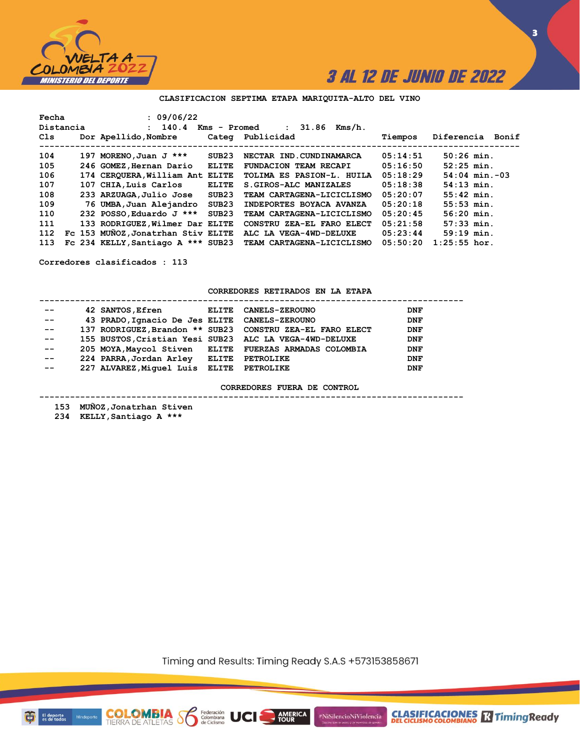

**3**

## **CLASIFICACION SEPTIMA ETAPA MARIQUITA-ALTO DEL VINO**

| Fecha |           | : 09/06/22                         |                   |                                 |          |                    |
|-------|-----------|------------------------------------|-------------------|---------------------------------|----------|--------------------|
|       | Distancia | : 140.4                            | Kms - Promed      | 31.86<br>Kms/h.<br>$\mathbf{L}$ |          |                    |
| Cls   |           | Dor Apellido, Nombre               |                   | Categ Publicidad                | Tiempos  | Diferencia Bonif   |
| 104   |           | 197 MORENO, Juan J ***             | SUB23             | NECTAR IND.CUNDINAMARCA         | 05:14:51 | $50:26$ min.       |
| 105   |           | 246 GOMEZ, Hernan Dario            | <b>ELITE</b>      | <b>FUNDACION TEAM RECAPI</b>    | 05:16:50 | $52:25$ min.       |
| 106   |           | 174 CERQUERA, William Ant ELITE    |                   | TOLIMA ES PASION-L. HUILA       | 05:18:29 | $54:04$ min. $-03$ |
| 107   |           | 107 CHIA, Luis Carlos              | <b>ELITE</b>      | S. GIROS-ALC MANIZALES          | 05:18:38 | $54:13$ min.       |
| 108   |           | 233 ARZUAGA, Julio Jose            | SUB23             | TEAM CARTAGENA-LICICLISMO       | 05:20:07 | $55:42$ min.       |
| 109   |           | 76 UMBA, Juan Alejandro            | SUB <sub>23</sub> | INDEPORTES BOYACA AVANZA        | 05:20:18 | $55:53$ min.       |
| 110   |           | 232 POSSO, Eduardo J ***           | SUB <sub>23</sub> | TEAM CARTAGENA-LICICLISMO       | 05:20:45 | $56:20$ min.       |
| 111   |           | 133 RODRIGUEZ, Wilmer Dar ELITE    |                   | CONSTRU ZEA-EL FARO ELECT       | 05:21:58 | $57:33$ min.       |
| 112   |           | Fc 153 MUNOZ, Jonatrhan Stiv ELITE |                   | ALC LA VEGA-4WD-DELUXE          | 05:23:44 | $59:19$ min.       |
| 113   |           | Fc 234 KELLY, Santiago A *** SUB23 |                   | TEAM CARTAGENA-LICICLISMO       | 05:50:20 | $1:25:55$ hor.     |

**Corredores clasificados : 113**

### **CORREDORES RETIRADOS EN LA ETAPA**

| $- -$ | 42 SANTOS, Efren ELITE CANELS-ZEROUNO         |                                                           | <b>DNF</b> |
|-------|-----------------------------------------------|-----------------------------------------------------------|------------|
| $- -$ | 43 PRADO, Ignacio De Jes ELITE CANELS-ZEROUNO |                                                           | <b>DNF</b> |
| $- -$ |                                               | 137 RODRIGUEZ, Brandon ** SUB23 CONSTRU ZEA-EL FARO ELECT | <b>DNF</b> |
| $- -$ |                                               | 155 BUSTOS, Cristian Yesi SUB23 ALC LA VEGA-4WD-DELUXE    | <b>DNF</b> |
| $- -$ |                                               | 205 MOYA, Maycol Stiven ELITE FUERZAS ARMADAS COLOMBIA    | <b>DNF</b> |
| $- -$ | 224 PARRA, Jordan Arley ELITE                 | <b>PETROLIKE</b>                                          | <b>DNF</b> |
| $- -$ | 227 ALVAREZ, Miquel Luis ELITE PETROLIKE      |                                                           | <b>DNF</b> |

**CORREDORES FUERA DE CONTROL**

**-----------------------------------------------------------------------------------**

 **153 MUÑOZ,Jonatrhan Stiven**

**COLOMBIA S6** 

Federación<br>Colombiana<br>de Ciclismo

 **234 KELLY,Santiago A \*\*\***

Timing and Results: Timing Ready S.A.S +573153858671

AMERICA

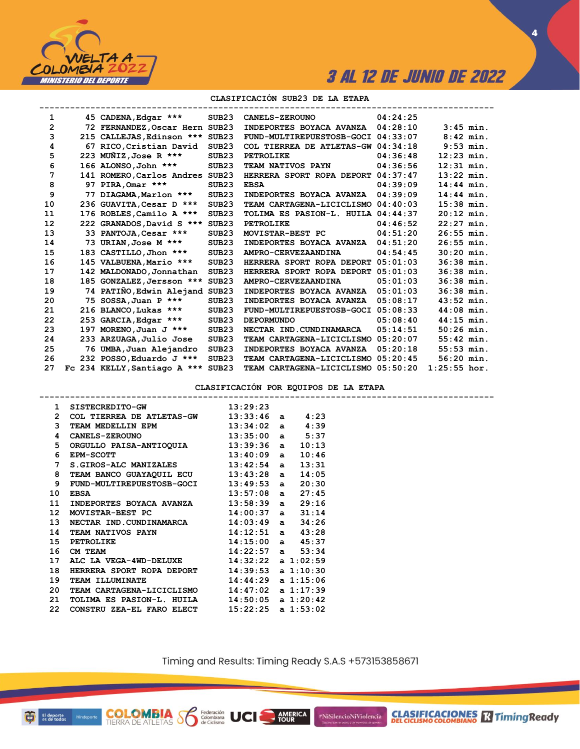

**CLASIFICACIONES M**Timing Ready

**4**

### **CLASIFICACIÓN SUB23 DE LA ETAPA**

| 1  |    | 45 CADENA, Edgar ***            | SUB <sub>23</sub> | <b>CANELS-ZEROUNO</b>              | 04:24:25 |                |  |
|----|----|---------------------------------|-------------------|------------------------------------|----------|----------------|--|
| 2  |    | 72 FERNANDEZ, Oscar Hern SUB23  |                   | INDEPORTES BOYACA AVANZA           | 04:28:10 | $3:45$ min.    |  |
| 3  |    | 215 CALLEJAS, Edinson ***       | SUB23             | FUND-MULTIREPUESTOSB-GOCI          | 04:33:07 | $8:42$ min.    |  |
| 4  |    | 67 RICO, Cristian David         | SUB <sub>23</sub> | COL TIERREA DE ATLETAS-GW 04:34:18 |          | $9:53$ min.    |  |
| 5  |    | 223 MUÑIZ, Jose R ***           | SUB <sub>23</sub> | <b>PETROLIKE</b>                   | 04:36:48 | $12:23$ min.   |  |
| 6  |    | 166 ALONSO, John ***            | SUB <sub>23</sub> | <b>TEAM NATIVOS PAYN</b>           | 04:36:56 | $12:31$ min.   |  |
| 7  |    | 141 ROMERO, Carlos Andres SUB23 |                   | HERRERA SPORT ROPA DEPORT          | 04:37:47 | $13:22$ min.   |  |
| 8  | 97 | PIRA, Omar ***                  | SUB <sub>23</sub> | <b>EBSA</b>                        | 04:39:09 | 14:44 min.     |  |
| 9  | 77 | DIAGAMA, Marlon ***             | SUB <sub>23</sub> | INDEPORTES BOYACA AVANZA           | 04:39:09 | $14:44$ min.   |  |
| 10 |    | 236 GUAVITA, Cesar D ***        | SUB <sub>23</sub> | TEAM CARTAGENA-LICICLISMO          | 04:40:03 | $15:38$ min.   |  |
| 11 |    | 176 ROBLES, Camilo A ***        | SUB <sub>23</sub> | TOLIMA ES PASION-L. HUILA 04:44:37 |          | $20:12$ min.   |  |
| 12 |    | 222 GRANADOS, David S ***       | SUB <sub>23</sub> | <b>PETROLIKE</b>                   | 04:46:52 | $22:27$ min.   |  |
| 13 |    | 33 PANTOJA, Cesar ***           | SUB <sub>23</sub> | MOVISTAR-BEST PC                   | 04:51:20 | $26:55$ min.   |  |
| 14 |    | 73 URIAN, Jose M ***            | SUB <sub>23</sub> | INDEPORTES BOYACA AVANZA           | 04:51:20 | $26:55$ min.   |  |
| 15 |    | 183 CASTILLO, Jhon ***          | SUB <sub>23</sub> | AMPRO-CERVEZAANDINA                | 04:54:45 | $30:20$ min.   |  |
| 16 |    | 145 VALBUENA, Mario ***         | SUB <sub>23</sub> | HERRERA SPORT ROPA DEPORT          | 05:01:03 | 36:38 min.     |  |
| 17 |    | 142 MALDONADO, Jonnathan        | SUB <sub>23</sub> | HERRERA SPORT ROPA DEPORT          | 05:01:03 | $36:38$ min.   |  |
| 18 |    | 185 GONZALEZ, Jersson ***       | SUB23             | AMPRO-CERVEZAANDINA                | 05:01:03 | 36:38 min.     |  |
| 19 |    | 74 PATIÑO, Edwin Alejand        | SUB <sub>23</sub> | INDEPORTES BOYACA AVANZA           | 05:01:03 | 36:38 min.     |  |
| 20 |    | 75 SOSSA, Juan P ***            | SUB <sub>23</sub> | INDEPORTES BOYACA AVANZA           | 05:08:17 | $43:52$ min.   |  |
| 21 |    | 216 BLANCO, Lukas ***           | SUB <sub>23</sub> | FUND-MULTIREPUESTOSB-GOCI          | 05:08:33 | $44:08$ min.   |  |
| 22 |    | 253 GARCIA, Edgar ***           | SUB <sub>23</sub> | <b>DEPORMUNDO</b>                  | 05:08:40 | $44:15$ min.   |  |
| 23 |    | 197 MORENO, Juan J ***          | SUB <sub>23</sub> | NECTAR IND. CUNDINAMARCA           | 05:14:51 | $50:26$ min.   |  |
| 24 |    | 233 ARZUAGA, Julio Jose         | SUB <sub>23</sub> | TEAM CARTAGENA-LICICLISMO          | 05:20:07 | $55:42$ min.   |  |
| 25 |    | 76 UMBA, Juan Alejandro         | SUB <sub>23</sub> | INDEPORTES BOYACA AVANZA           | 05:20:18 | $55:53$ min.   |  |
| 26 |    | 232 POSSO, Eduardo J ***        | SUB <sub>23</sub> | TEAM CARTAGENA-LICICLISMO          | 05:20:45 | $56:20$ min.   |  |
| 27 |    | Fc 234 KELLY, Santiago A ***    | SUB23             | TEAM CARTAGENA-LICICLISMO          | 05:50:20 | $1:25:55$ hor. |  |

**CLASIFICACIÓN POR EQUIPOS DE LA ETAPA**

| $\mathbf{1}$     | SISTECREDITO-GW 13:29:23                               |  |  |
|------------------|--------------------------------------------------------|--|--|
| $\mathbf{2}$     | COL TIERREA DE ATLETAS-GW 13:33:46 a 4:23              |  |  |
| 3                | TEAM MEDELLIN EPM 13:34:02 a 4:39                      |  |  |
| 4                | CANELS-ZEROUNO 13:35:00 a 5:37                         |  |  |
|                  | 5 ORGULLO PAISA-ANTIOQUIA 13:39:36 a 10:13             |  |  |
| 6                | $13:40:09$ a $10:46$<br><b>EPM-SCOTT</b>               |  |  |
| $7^{\circ}$      | S.GIROS-ALC MANIZALES 13:42:54 a 13:31                 |  |  |
| 8                | TEAM BANCO GUAYAQUIL ECU 13:43:28 a 14:05              |  |  |
| 9                | FUND-MULTIREPUESTOSB-GOCI 13:49:53 a 20:30             |  |  |
| 10               | $13:57:08$ a $27:45$<br><b>EBSA</b>                    |  |  |
| 11               | INDEPORTES BOYACA AVANZA 13:58:39 a 29:16              |  |  |
| 12 <sup>12</sup> | MOVISTAR-BEST PC 14:00:37 a 31:14                      |  |  |
| 13               | NECTAR IND. CUNDINAMARCA 14:03:49 a 34:26              |  |  |
| 14               | TEAM NATIVOS PAYN 14:12:51 a 43:28                     |  |  |
| 15               |                                                        |  |  |
| 16               | PETROLIKE 14:15:00 a 45:37<br>CM TEAM 14:22:57 a 53:34 |  |  |
| 17               | ALC LA VEGA-4WD-DELUXE 14:32:22 a 1:02:59              |  |  |
| 18               | HERRERA SPORT ROPA DEPORT 14:39:53 a 1:10:30           |  |  |
| 19               | TEAM ILLUMINATE 14:44:29 a 1:15:06                     |  |  |
| 20               | TEAM CARTAGENA-LICICLISMO 14:47:02 a 1:17:39           |  |  |
| 21               | TOLIMA ES PASION-L. HUILA 14:50:05 a 1:20:42           |  |  |
| 22               | CONSTRU ZEA-EL FARO ELECT 15:22:25 a 1:53:02           |  |  |
|                  |                                                        |  |  |

**COLOMBIA**<br>TIERRA DE ATLETAS **S** de Ciclismo

Timing and Results: Timing Ready S.A.S +573153858671

AMERICA

UCI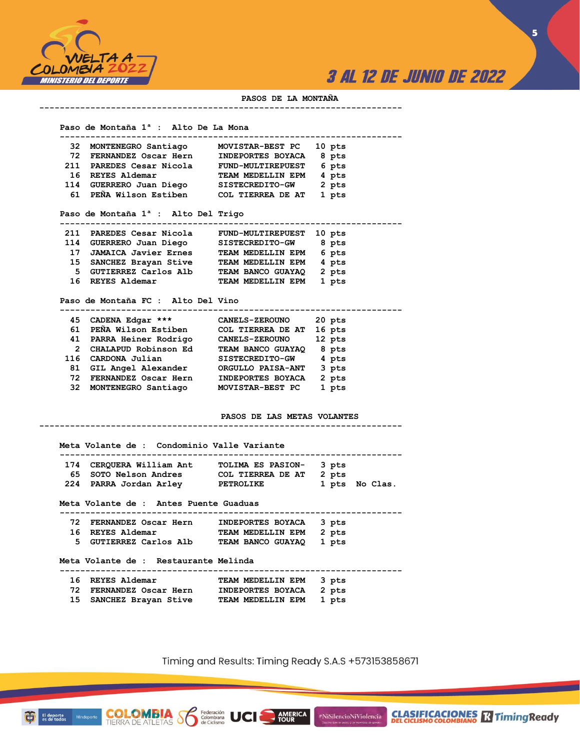

**5**

#### **PASOS DE LA MONTAÑA**

 **Paso de Montaña 1ª : Alto De La Mona**

| 32  | MONTENEGRO Santiago                             | <b>MOVISTAR-BEST PC</b>  | 10 pts |  |
|-----|-------------------------------------------------|--------------------------|--------|--|
|     | 72 FERNANDEZ Oscar Hern                         | INDEPORTES BOYACA        | 8 pts  |  |
|     | 211 PAREDES Cesar Nicola                        | <b>FUND-MULTIREPUEST</b> | 6 pts  |  |
|     | 16 REYES Aldemar                                | TEAM MEDELLIN EPM        | 4 pts  |  |
|     | 114 GUERRERO Juan Diego                         | SISTECREDITO-GW          | 2 pts  |  |
|     | 61 PEÑA Wilson Estiben                          | COL TIERREA DE AT        | 1 pts  |  |
|     |                                                 |                          |        |  |
|     | Paso de Montaña 1 <sup>ª</sup> : Alto Del Trigo |                          |        |  |
| 211 | PAREDES Cesar Nicola                            | <b>FUND-MULTIREPUEST</b> | 10 pts |  |
|     | 114 GUERRERO Juan Diego                         | <b>SISTECREDITO-GW</b>   | 8 pts  |  |
| 17  | <b>JAMAICA Javier Ernes</b>                     | TEAM MEDELLIN EPM        | 6 pts  |  |
|     | 15 SANCHEZ Brayan Stive                         | TEAM MEDELLIN EPM        | 4 pts  |  |
| 5.  | GUTIERREZ Carlos Alb                            | TEAM BANCO GUAYAQ        | 2 pts  |  |
| 16  | REYES Aldemar                                   | TEAM MEDELLIN EPM        | 1 pts  |  |

**-----------------------------------------------------------------------**

 **Paso de Montaña FC : Alto Del Vino**

| 45  | CADENA Edgar ***       | <b>CANELS-ZEROUNO</b> | 20 pts |  |
|-----|------------------------|-----------------------|--------|--|
| 61. | PEÑA Wilson Estiben    | COL TIERREA DE AT     | 16 pts |  |
| 41  | PARRA Heiner Rodrigo   | <b>CANELS-ZEROUNO</b> | 12 pts |  |
| 2   | CHALAPUD Robinson Ed   | TEAM BANCO GUAYAQ     | 8 pts  |  |
| 116 | CARDONA Julian         | SISTECREDITO-GW       | 4 pts  |  |
| 81  | GIL Angel Alexander    | ORGULLO PAISA-ANT     | 3 pts  |  |
| 72. | FERNANDEZ Oscar Hern   | INDEPORTES BOYACA     | 2 pts  |  |
|     | 32 MONTENEGRO Santiago | MOVISTAR-BEST PC      | 1 pts  |  |

**-----------------------------------------------------------------------**

**PASOS DE LAS METAS VOLANTES**

| 174 | CERQUERA William Ant                      | TOLIMA ES PASION-        | 3 pts |                |
|-----|-------------------------------------------|--------------------------|-------|----------------|
|     | <b>65 SOTO Nelson Andres</b>              | COL TIERREA DE AT        | 2 pts |                |
|     | 224 PARRA Jordan Arley PETROLIKE          |                          |       | 1 pts No Clas. |
|     | Meta Volante de : Antes Puente Guaduas    |                          |       |                |
|     | 72 FERNANDEZ Oscar Hern INDEPORTES BOYACA |                          | 3 pts |                |
|     | 16 REYES Aldemar                          | TEAM MEDELLIN EPM        | 2 pts |                |
|     | 5 GUTIERREZ Carlos Alb                    | <b>TEAM BANCO GUAYAQ</b> | 1 pts |                |
|     | Meta Volante de : Restaurante Melinda     |                          |       |                |
| 16  | REYES Aldemar                             | TEAM MEDELLIN EPM        | 3 pts |                |
|     | 72 FERNANDEZ Oscar Hern                   | INDEPORTES BOYACA        | 2 pts |                |

 **15 SANCHEZ Brayan Stive TEAM MEDELLIN EPM 1 pts** 

**COLOMBIA**<br>TIERRA DE ATLETAS **S** de Ciclismo

El deporte<br>es de todos

Mindeporte

Timing and Results: Timing Ready S.A.S +573153858671

**AMERICA**<br>TOUR

#NiSilencioNiViolencia

**CLASIFICACIONES** Timing Ready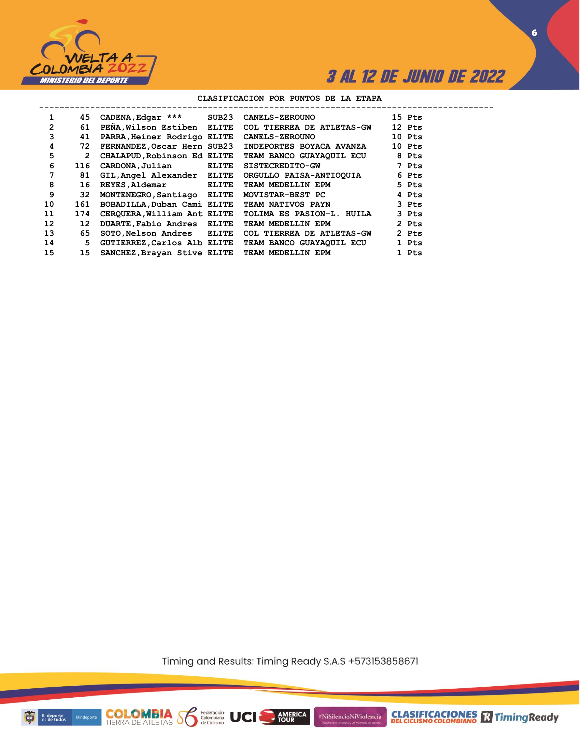

**6**

### **CLASIFICACION POR PUNTOS DE LA ETAPA**

| 1               | 45              | CADENA, Edgar *** SUB23     |       | <b>CANELS-ZEROUNO</b>                                | 15 Pts |
|-----------------|-----------------|-----------------------------|-------|------------------------------------------------------|--------|
| $\overline{2}$  | 61              |                             |       | PENA, Wilson Estiben ELITE COL TIERREA DE ATLETAS-GW | 12 Pts |
| 3               | 41              | PARRA, Heiner Rodrigo ELITE |       | <b>CANELS-ZEROUNO</b>                                | 10 Pts |
| 4               | 72              |                             |       | FERNANDEZ, Oscar Hern SUB23 INDEPORTES BOYACA AVANZA | 10 Pts |
| 5               | $\mathbf{2}$    | CHALAPUD, Robinson Ed ELITE |       | TEAM BANCO GUAYAQUIL ECU                             | 8 Pts  |
| 6               | 116             | CARDONA, Julian             | ELITE | <b>SISTECREDITO-GW</b>                               | 7 Pts  |
| 7               | 81              | GIL, Angel Alexander ELITE  |       | ORGULLO PAISA-ANTIOQUIA                              | 6 Pts  |
| 8               | 16              | REYES, Aldemar ELITE        |       | TEAM MEDELLIN EPM                                    | 5 Pts  |
| 9               | 32              | MONTENEGRO, Santiago ELITE  |       | MOVISTAR-BEST PC                                     | 4 Pts  |
| 10              | 161             | BOBADILLA, Duban Cami ELITE |       | <b>TEAM NATIVOS PAYN</b>                             | 3 Pts  |
| 11              | 174             | CERQUERA, William Ant ELITE |       | TOLIMA ES PASION-L. HUILA                            | 3 Pts  |
| 12 <sup>2</sup> | 12 <sup>1</sup> | DUARTE, Fabio Andres ELITE  |       | TEAM MEDELLIN EPM                                    | 2 Pts  |
| 13              | 65              | SOTO, Nelson Andres ELITE   |       | COL TIERREA DE ATLETAS-GW                            | 2 Pts  |
| 14              | 5               | GUTIERREZ, Carlos Alb ELITE |       | TEAM BANCO GUAYAQUIL ECU                             | 1 Pts  |
| 15              | 15              |                             |       | SANCHEZ, Brayan Stive ELITE TEAM MEDELLIN EPM        | 1 Pts  |

Timing and Results: Timing Ready S.A.S +573153858671

AMERICA

**UCI** 

#NiSilencioNiViolencia



**COLOMBIA**<br>TIERRA DE ATLETAS **S** Rederación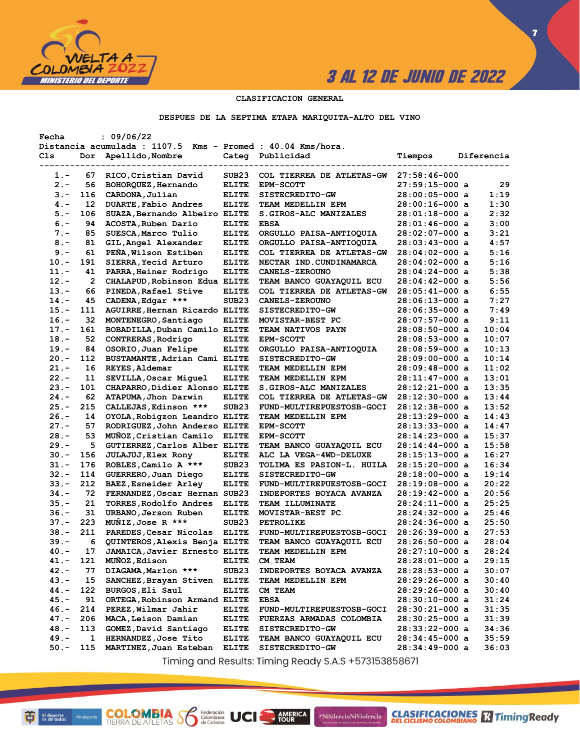

**CLASIFICACIONES** TimingReady

**7**

### **CLASIFICACION GENERAL**

### **DESPUES DE LA SEPTIMA ETAPA MARIQUITA-ALTO DEL VINO**

| Fecha   |     | : 09/06/22                                                  |                   |                                  |                  |            |
|---------|-----|-------------------------------------------------------------|-------------------|----------------------------------|------------------|------------|
|         |     | Distancia acumulada : 1107.5 Kms - Promed : 40.04 Kms/hora. |                   |                                  |                  |            |
| Cls     | Dor | Apellido, Nombre                                            |                   | Categ Publicidad                 | Tiempos          | Diferencia |
|         |     |                                                             |                   |                                  |                  |            |
| 1.-     | 67  | RICO, Cristian David                                        | SUB <sub>23</sub> | COL TIERREA DE ATLETAS-GW        | $27:58:46-000$   |            |
| $2 -$   | 56  | BOHORQUEZ, Hernando                                         | <b>ELITE</b>      | <b>EPM-SCOTT</b>                 | $27:59:15-000$ a | 29         |
| $3 -$   | 116 | CARDONA, Julian                                             | <b>ELITE</b>      | SISTECREDITO-GW                  | $28:00:05-000$ a | 1:19       |
| $4 -$   | 12  | DUARTE, Fabio Andres                                        | <b>ELITE</b>      | TEAM MEDELLIN EPM                | $28:00:16-000$ a | 1:30       |
| $5. -$  | 106 | SUAZA, Bernando Albeiro ELITE                               |                   | <b>S.GIROS-ALC MANIZALES</b>     | 28:01:18-000 a   | 2:32       |
| $6. -$  | 94  | ACOSTA, Ruben Dario                                         | <b>ELITE</b>      | <b>EBSA</b>                      | 28:01:46-000 a   | 3:00       |
|         | 85  | SUESCA, Marco Tulio                                         |                   | ORGULLO PAISA-ANTIOQUIA          | 28:02:07-000 a   | 3:21       |
| $7 -$   |     |                                                             | <b>ELITE</b>      |                                  |                  |            |
| $8 -$   | 81  | GIL, Angel Alexander                                        | <b>ELITE</b>      | ORGULLO PAISA-ANTIOQUIA          | $28:03:43-000$ a | 4:57       |
| $9 -$   | 61  | PENA, Wilson Estiben                                        | <b>ELITE</b>      | <b>COL TIERREA DE ATLETAS-GW</b> | 28:04:02-000 a   | 5:16       |
| $10. -$ | 191 | SIERRA, Yecid Arturo                                        | <b>ELITE</b>      | NECTAR IND. CUNDINAMARCA         | 28:04:02-000 a   | 5:16       |
| 11.-    | 41  | PARRA, Heiner Rodrigo                                       | <b>ELITE</b>      | <b>CANELS-ZEROUNO</b>            | 28:04:24-000 a   | 5:38       |
| $12 -$  | 2   | CHALAPUD, Robinson Edua ELITE                               |                   | <b>TEAM BANCO GUAYAQUIL ECU</b>  | $28:04:42-000$ a | 5:56       |
| $13 -$  | 66  | PINEDA, Rafael Stive                                        | <b>ELITE</b>      | COL TIERREA DE ATLETAS-GW        | 28:05:41-000 a   | 6:55       |
| $14. -$ | 45  | CADENA, Edgar ***                                           | SUB <sub>23</sub> | <b>CANELS-ZEROUNO</b>            | 28:06:13-000 a   | 7:27       |
| $15. -$ | 111 | AGUIRRE, Hernan Ricardo ELITE                               |                   | <b>SISTECREDITO-GW</b>           | 28:06:35-000 a   | 7:49       |
| $16. -$ | 32  | MONTENEGRO, Santiago                                        | <b>ELITE</b>      | MOVISTAR-BEST PC                 | $28:07:57-000$ a | 9:11       |
| $17. -$ | 161 | BOBADILLA, Duban Camilo ELITE                               |                   | <b>TEAM NATIVOS PAYN</b>         | $28:08:50-000$ a | 10:04      |
| $18. -$ | 52  | CONTRERAS, Rodrigo                                          | <b>ELITE</b>      | <b>EPM-SCOTT</b>                 | $28:08:53-000$ a | 10:07      |
| $19. -$ | 84  | OSORIO, Juan Felipe                                         | <b>ELITE</b>      | ORGULLO PAISA-ANTIOQUIA          | 28:08:59-000 a   | 10:13      |
| $20 -$  | 112 | BUSTAMANTE, Adrian Cami ELITE                               |                   | <b>SISTECREDITO-GW</b>           | 28:09:00-000 a   | 10:14      |
| $21. -$ | 16  | REYES, Aldemar                                              | <b>ELITE</b>      | TEAM MEDELLIN EPM                | 28:09:48-000 a   | 11:02      |
| $22 -$  | 11  | SEVILLA, Oscar Miquel                                       | <b>ELITE</b>      | TEAM MEDELLIN EPM                | 28:11:47-000 a   | 13:01      |
| $23 -$  | 101 | CHAPARRO, Didier Alonso ELITE                               |                   | <b>S.GIROS-ALC MANIZALES</b>     | $28:12:21-000$ a | 13:35      |
| $24. -$ | 62  |                                                             | <b>ELITE</b>      | COL TIERREA DE ATLETAS-GW        |                  | 13:44      |
|         |     | ATAPUMA, Jhon Darwin                                        |                   |                                  | 28:12:30-000 a   |            |
| $25. -$ | 215 | CALLEJAS, Edinson ***                                       | SUB <sub>23</sub> | FUND-MULTIREPUESTOSB-GOCI        | $28:12:38-000$ a | 13:52      |
| $26. -$ | 14  | OYOLA, Robigzon Leandro ELITE                               |                   | TEAM MEDELLIN EPM                | 28:13:29-000 a   | 14:43      |
| $27. -$ | 57  | RODRIGUEZ, John Anderso ELITE                               |                   | <b>EPM-SCOTT</b>                 | 28:13:33-000 a   | 14:47      |
| $28 -$  | 53  | MUNOZ, Cristian Camilo                                      | <b>ELITE</b>      | <b>EPM-SCOTT</b>                 | $28:14:23-000$ a | 15:37      |
| $29. -$ | 5   | GUTIERREZ, Carlos Alber ELITE                               |                   | <b>TEAM BANCO GUAYAQUIL ECU</b>  | $28:14:44-000$ a | 15:58      |
| $30 -$  | 156 | <b>JULAJUJ, Elex Rony</b>                                   | <b>ELITE</b>      | ALC LA VEGA-4WD-DELUXE           | 28:15:13-000 a   | 16:27      |
| $31 -$  | 176 | ROBLES, Camilo A ***                                        | SUB <sub>23</sub> | TOLIMA ES PASION-L. HUILA        | 28:15:20-000 a   | 16:34      |
| $32 -$  | 114 | GUERRERO, Juan Diego                                        | <b>ELITE</b>      | <b>SISTECREDITO-GW</b>           | 28:18:00-000 a   | 19:14      |
| $33 -$  | 212 | BAEZ, Esneider Arley                                        | <b>ELITE</b>      | FUND-MULTIREPUESTOSB-GOCI        | 28:19:08-000 a   | 20:22      |
| $34. -$ | 72  | FERNANDEZ, Oscar Hernan SUB23                               |                   | <b>INDEPORTES BOYACA AVANZA</b>  | 28:19:42-000 a   | 20:56      |
| $35. -$ | 21  | TORRES, Rodolfo Andres                                      | <b>ELITE</b>      | <b>TEAM ILLUMINATE</b>           | $28:24:11-000$ a | 25:25      |
| $36. -$ | 31  | URBANO, Jerson Ruben                                        | <b>ELITE</b>      | MOVISTAR-BEST PC                 | $28:24:32-000$ a | 25:46      |
| $37. -$ | 223 | MUNIZ, Jose R ***                                           | SUB <sub>23</sub> | <b>PETROLIKE</b>                 | $28:24:36-000$ a | 25:50      |
| $38 -$  | 211 | PAREDES, Cesar Nicolas                                      | <b>ELITE</b>      | FUND-MULTIREPUESTOSB-GOCI        | $28:26:39-000$ a | 27:53      |
| 39.-    | 6   | QUINTEROS, Alexis Benja ELITE                               |                   | TEAM BANCO GUAYAQUIL ECU         | $28:26:50-000$ a | 28:04      |
| 40.-    | 17  | JAMAICA, Javier Ernesto ELITE                               |                   | TEAM MEDELLIN EPM                | 28:27:10-000 a   | 28:24      |
| 41.-    | 121 | MUÑOZ, Edison                                               | <b>ELITE</b>      | CM TEAM                          | $28:28:01-000$ a | 29:15      |
| $42 -$  | 77  | DIAGAMA, Marlon ***                                         | SUB23             | <b>INDEPORTES BOYACA AVANZA</b>  | $28:28:53-000$ a | 30:07      |
| 43.-    | 15  | SANCHEZ, Brayan Stiven                                      |                   | TEAM MEDELLIN EPM                |                  | 30:40      |
|         |     |                                                             | <b>ELITE</b>      | CM TEAM                          | 28:29:26-000 a   |            |
| 44.-    | 122 | BURGOS, Eli Saul                                            | <b>ELITE</b>      |                                  | 28:29:26-000 a   | 30:40      |
| 45.-    | 91  | ORTEGA, Robinson Armand ELITE                               |                   | <b>EBSA</b>                      | $28:30:10-000$ a | 31:24      |
| $46. -$ | 214 | PEREZ, Wilmar Jahir                                         | <b>ELITE</b>      | FUND-MULTIREPUESTOSB-GOCI        | $28:30:21-000$ a | 31:35      |
| $47. -$ | 206 | MACA, Leison Damian                                         | <b>ELITE</b>      | FUERZAS ARMADAS COLOMBIA         | $28:30:25-000$ a | 31:39      |
| 48.-    | 113 | GOMEZ, David Santiago                                       | <b>ELITE</b>      | <b>SISTECREDITO-GW</b>           | $28:33:22-000$ a | 34:36      |
| $49. -$ | 1   | HERNANDEZ, Jose Tito                                        | <b>ELITE</b>      | TEAM BANCO GUAYAQUIL ECU         | $28:34:45-000$ a | 35:59      |
| $50. -$ | 115 | MARTINEZ, Juan Esteban                                      | <b>ELITE</b>      | SISTECREDITO-GW                  | 28:34:49-000 a   | 36:03      |

Timing and Results: Timing Ready S.A.S +573153858671

AMERICA

#NiSilencioNiViolencia

**COLOMBIA SP** 

Federación<br>Colombiana<br>de Ciclismo

UCI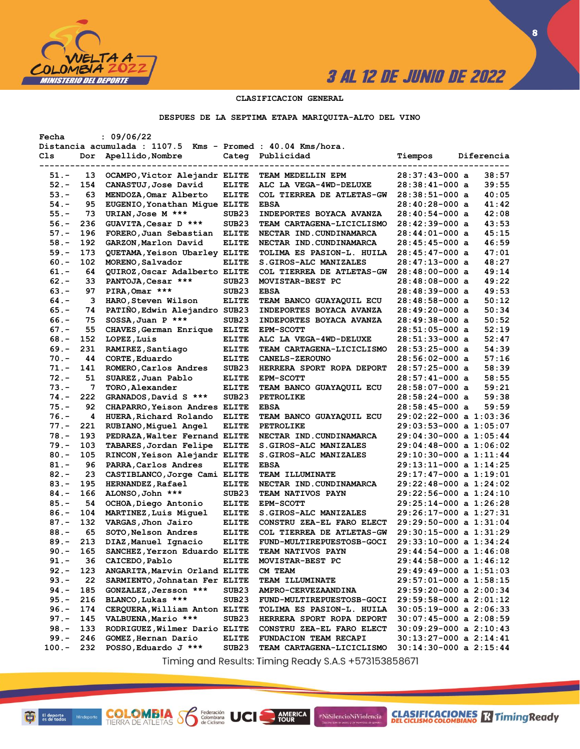

**8**

### **CLASIFICACION GENERAL**

### **DESPUES DE LA SEPTIMA ETAPA MARIQUITA-ALTO DEL VINO**

| Fecha    |     | : 09/06/22                                                  |                   |                                  |                            |            |
|----------|-----|-------------------------------------------------------------|-------------------|----------------------------------|----------------------------|------------|
|          |     | Distancia acumulada : 1107.5 Kms - Promed : 40.04 Kms/hora. |                   |                                  |                            |            |
| Cls      | Dor | Apellido, Nombre                                            | Categ             | Publicidad                       | Tiempos                    | Diferencia |
|          |     |                                                             |                   |                                  |                            |            |
| 51.-     | 13  | OCAMPO, Victor Alejandr ELITE                               |                   | TEAM MEDELLIN EPM                | 28:37:43-000 a             | 38:57      |
| $52 -$   | 154 | CANASTUJ, Jose David                                        | <b>ELITE</b>      | ALC LA VEGA-4WD-DELUXE           | 28:38:41-000 a             | 39:55      |
| $53 -$   | 63  | MENDOZA, Omar Alberto                                       | <b>ELITE</b>      | COL TIERREA DE ATLETAS-GW        | 28:38:51-000 a             | 40:05      |
| $54. -$  | 95  | EUGENIO, Yonathan Mique ELITE                               |                   | <b>EBSA</b>                      | 28:40:28-000 a             | 41:42      |
| $55. -$  | 73  | URIAN, Jose M ***                                           | SUB <sub>23</sub> | <b>INDEPORTES BOYACA AVANZA</b>  | 28:40:54-000 a             | 42:08      |
| $56. -$  | 236 | GUAVITA, Cesar D ***                                        | SUB <sub>23</sub> | TEAM CARTAGENA-LICICLISMO        | 28:42:39-000 a             | 43:53      |
| $57. -$  | 196 | FORERO, Juan Sebastian                                      | <b>ELITE</b>      | NECTAR IND. CUNDINAMARCA         | 28:44:01-000 a             | 45:15      |
| $58. -$  | 192 | GARZON, Marlon David                                        | <b>ELITE</b>      | NECTAR IND. CUNDINAMARCA         | $28:45:45-000$ a           | 46:59      |
| $59. -$  | 173 | QUETAMA, Yeison Ubarley ELITE                               |                   | TOLIMA ES PASION-L. HUILA        | 28:45:47-000 a             | 47:01      |
| $60 -$   | 102 | MORENO, Salvador                                            | <b>ELITE</b>      | S.GIROS-ALC MANIZALES            | $28:47:13-000$ a           | 48:27      |
| $61. -$  | 64  | QUIROZ, Oscar Adalberto ELITE                               |                   | <b>COL TIERREA DE ATLETAS-GW</b> | 28:48:00-000 a             | 49:14      |
| $62 -$   | 33  | PANTOJA, Cesar ***                                          | SUB <sub>23</sub> | MOVISTAR-BEST PC                 | 28:48:08-000 a             | 49:22      |
| $63 -$   | 97  | PIRA, Omar ***                                              | SUB <sub>23</sub> | <b>EBSA</b>                      | 28:48:39-000 a             | 49:53      |
| $64. -$  | з   |                                                             | <b>ELITE</b>      |                                  |                            | 50:12      |
|          |     | HARO, Steven Wilson                                         |                   | TEAM BANCO GUAYAQUIL ECU         | 28:48:58-000 a             |            |
| $65. -$  | 74  | PATINO, Edwin Alejandro SUB23                               |                   | <b>INDEPORTES BOYACA AVANZA</b>  | 28:49:20-000 a             | 50:34      |
| $66. -$  | 75  | SOSSA, Juan P ***                                           | SUB <sub>23</sub> | INDEPORTES BOYACA AVANZA         | $28:49:38-000$ a           | 50:52      |
| $67. -$  | 55  | CHAVES, German Enrique                                      | <b>ELITE</b>      | <b>EPM-SCOTT</b>                 | 28:51:05-000 a             | 52:19      |
| $68. -$  | 152 | LOPEZ, Luis                                                 | <b>ELITE</b>      | ALC LA VEGA-4WD-DELUXE           | $28:51:33-000$ a           | 52:47      |
| $69. -$  | 231 | RAMIREZ, Santiago                                           | <b>ELITE</b>      | TEAM CARTAGENA-LICICLISMO        | 28:53:25-000 a             | 54:39      |
| $70. -$  | 44  | CORTE, Eduardo                                              | <b>ELITE</b>      | <b>CANELS-ZEROUNO</b>            | 28:56:02-000 a             | 57:16      |
| $71. -$  | 141 | ROMERO, Carlos Andres                                       | SUB <sub>23</sub> | HERRERA SPORT ROPA DEPORT        | $28:57:25-000$ a           | 58:39      |
| $72 -$   | 51  | SUAREZ, Juan Pablo                                          | <b>ELITE</b>      | <b>EPM-SCOTT</b>                 | 28:57:41-000 a             | 58:55      |
| $73. -$  | 7   | TORO, Alexander                                             | <b>ELITE</b>      | TEAM BANCO GUAYAQUIL ECU         | 28:58:07-000 a             | 59:21      |
| $74. -$  | 222 | GRANADOS, David S ***                                       | SUB <sub>23</sub> | PETROLIKE                        | 28:58:24-000 a             | 59:38      |
| $75. -$  | 92  | CHAPARRO, Yeison Andres ELITE                               |                   | <b>EBSA</b>                      | $28:58:45-000$ a           | 59:59      |
| $76. -$  | 4   | HUERA, Richard Rolando                                      | <b>ELITE</b>      | TEAM BANCO GUAYAQUIL ECU         | 29:02:22-000 a 1:03:36     |            |
| $77. -$  | 221 | RUBIANO, Miguel Angel                                       | <b>ELITE</b>      | <b>PETROLIKE</b>                 | 29:03:53-000 a 1:05:07     |            |
| $78. -$  | 193 | PEDRAZA, Walter Fernand ELITE                               |                   | NECTAR IND.CUNDINAMARCA          | 29:04:30-000 a 1:05:44     |            |
| $79. -$  | 103 | TABARES, Jordan Felipe                                      | <b>ELITE</b>      | S.GIROS-ALC MANIZALES            | $29:04:48-000$ a $1:06:02$ |            |
| $80 -$   | 105 | RINCON, Yeison Alejandr ELITE                               |                   | S.GIROS-ALC MANIZALES            | 29:10:30-000 a 1:11:44     |            |
| $81. -$  | 96  | PARRA, Carlos Andres                                        | <b>ELITE</b>      | <b>EBSA</b>                      | 29:13:11-000 a 1:14:25     |            |
| $82 -$   | 23  | CASTIBLANCO, Jorge Cami ELITE                               |                   | <b>TEAM ILLUMINATE</b>           | 29:17:47-000 a 1:19:01     |            |
| $83 -$   | 195 | <b>HERNANDEZ, Rafael</b>                                    | <b>ELITE</b>      | NECTAR IND. CUNDINAMARCA         | 29:22:48-000 a 1:24:02     |            |
| $84. -$  | 166 | ALONSO, John ***                                            | SUB <sub>23</sub> | <b>TEAM NATIVOS PAYN</b>         | 29:22:56-000 a 1:24:10     |            |
| $85. -$  | 54  | OCHOA, Diego Antonio                                        | <b>ELITE</b>      | <b>EPM-SCOTT</b>                 | 29:25:14-000 a 1:26:28     |            |
| $86. -$  | 104 | MARTINEZ, Luis Miquel                                       | <b>ELITE</b>      | S.GIROS-ALC MANIZALES            | $29:26:17-000$ a $1:27:31$ |            |
| $87. -$  | 132 | VARGAS, Jhon Jairo                                          | <b>ELITE</b>      | CONSTRU ZEA-EL FARO ELECT        | 29:29:50-000 a 1:31:04     |            |
| $88. -$  | 65  |                                                             |                   |                                  |                            |            |
|          |     | SOTO, Nelson Andres                                         | <b>ELITE</b>      | <b>COL TIERREA DE ATLETAS-GW</b> | 29:30:15-000 a 1:31:29     |            |
| $89. -$  | 213 | DIAZ, Manuel Ignacio                                        | <b>ELITE</b>      | FUND-MULTIREPUESTOSB-GOCI        | 29:33:10-000 a 1:34:24     |            |
| $90 -$   | 165 | SANCHEZ, Yerzon Eduardo ELITE                               |                   | <b>TEAM NATIVOS PAYN</b>         | 29:44:54-000 a 1:46:08     |            |
| $91. -$  | 36  | CAICEDO, Pablo                                              | <b>ELITE</b>      | MOVISTAR-BEST PC                 | 29:44:58-000 a 1:46:12     |            |
| $92 -$   | 123 | ANGARITA, Marvin Orland ELITE                               |                   | CM TEAM                          | 29:49:49-000 a 1:51:03     |            |
| $93 -$   | 22  | SARMIENTO, Johnatan Fer ELITE                               |                   | <b>TEAM ILLUMINATE</b>           | 29:57:01-000 a 1:58:15     |            |
| $94. -$  | 185 | GONZALEZ, Jersson ***                                       | SUB <sub>23</sub> | AMPRO-CERVEZAANDINA              | 29:59:20-000 a 2:00:34     |            |
| $95. -$  | 216 | BLANCO, Lukas ***                                           | SUB <sub>23</sub> | FUND-MULTIREPUESTOSB-GOCI        | 29:59:58-000 a 2:01:12     |            |
| $96. -$  | 174 | CERQUERA, William Anton ELITE                               |                   | TOLIMA ES PASION-L. HUILA        | $30:05:19-000$ a $2:06:33$ |            |
| $97. -$  | 145 | VALBUENA, Mario ***                                         | SUB23             | HERRERA SPORT ROPA DEPORT        | $30:07:45-000$ a $2:08:59$ |            |
| $98. -$  | 133 | RODRIGUEZ, Wilmer Dario ELITE                               |                   | CONSTRU ZEA-EL FARO ELECT        | $30:09:29-000$ a $2:10:43$ |            |
| $99. -$  | 246 | GOMEZ, Hernan Dario                                         | <b>ELITE</b>      | FUNDACION TEAM RECAPI            | $30:13:27-000$ a $2:14:41$ |            |
| $100. -$ | 232 | POSSO, Eduardo J ***                                        | SUB <sub>23</sub> | TEAM CARTAGENA-LICICLISMO        | $30:14:30-000$ a $2:15:44$ |            |
|          |     |                                                             |                   |                                  |                            |            |

Timing and Results: Timing Ready S.A.S +573153858671

AMERICA

#NiSilencioNiViolencia

**COLOMBIA SP** 

Federación<br>Colombiana<br>de Ciclismo

UCI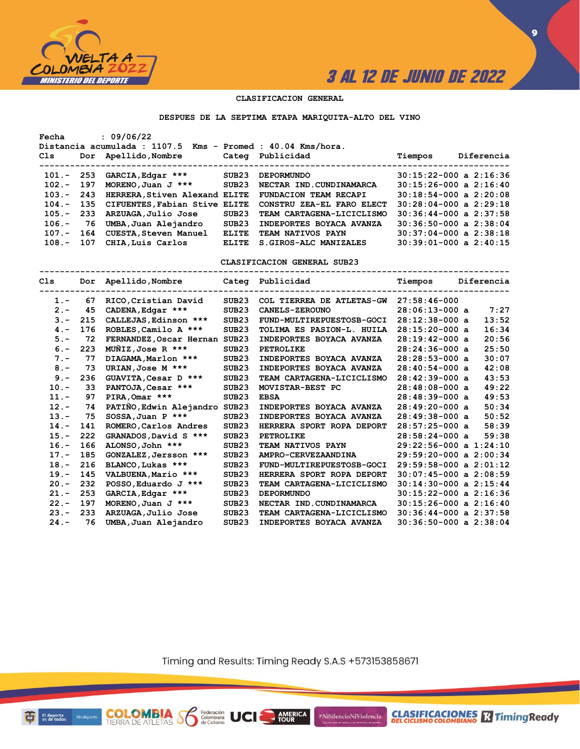

**CLASIFICACIONES R** Timing Ready

**9**

### **CLASIFICACION GENERAL**

#### **DESPUES DE LA SEPTIMA ETAPA MARIQUITA-ALTO DEL VINO**

| Fecha        |     | : 09/06/22<br>Distancia acumulada : 1107.5 Kms - Promed : 40.04 Kms/hora. |                   |                                                                   |                            |            |
|--------------|-----|---------------------------------------------------------------------------|-------------------|-------------------------------------------------------------------|----------------------------|------------|
| Cls          |     | Dor Apellido, Nombre                                                      |                   | Categ Publicidad                                                  | Tiempos                    | Diferencia |
|              |     | $101. - 253$ GARCIA, Edgar ***                                            | SUB <sub>23</sub> | <b>DEPORMUNDO</b>                                                 | $30:15:22-000$ a $2:16:36$ |            |
| $102. - 197$ |     | MORENO, Juan J $***$                                                      | SUB23             | NECTAR IND. CUNDINAMARCA                                          | $30:15:26-000$ a $2:16:40$ |            |
| $103 -$      | 243 | HERRERA, Stiven Alexand ELITE FUNDACION TEAM RECAPI                       |                   |                                                                   | $30:18:54-000$ a $2:20:08$ |            |
|              |     |                                                                           |                   | 104.- 135 CIFUENTES, Fabian Stive ELITE CONSTRU ZEA-EL FARO ELECT | $30:28:04-000$ a $2:29:18$ |            |
|              |     | 105.- 233 ARZUAGA, Julio Jose                                             | SUB23             | TEAM CARTAGENA-LICICLISMO                                         | $30:36:44-000$ a $2:37:58$ |            |
| $106. - 76$  |     | UMBA,Juan Alejandro                                                       | SUB23             | INDEPORTES BOYACA AVANZA                                          | $30:36:50-000$ a $2:38:04$ |            |
|              |     | 107.- 164 CUESTA, Steven Manuel                                           | <b>ELITE</b>      | TEAM NATIVOS PAYN                                                 | $30:37:04-000$ a $2:38:18$ |            |
| $108 -$      | 107 | CHIA, Luis Carlos                                                         | <b>ELITE</b>      | S. GIROS-ALC MANIZALES                                            | $30:39:01-000$ a $2:40:15$ |            |
|              |     |                                                                           |                   |                                                                   |                            |            |

**CLASIFICACION GENERAL SUB23**

| Cls     |     | Dor Apellido, Nombre Categ Publicidad |                   |                           | Tiempos                    | Diferencia |
|---------|-----|---------------------------------------|-------------------|---------------------------|----------------------------|------------|
| $1 -$   | 67  | RICO, Cristian David                  | SUB23             | COL TIERREA DE ATLETAS-GW | $27:58:46-000$             |            |
| $2 -$   | 45  | CADENA, Edgar ***                     | SUB23             | CANELS-ZEROUNO            | $28:06:13-000$ a           | 7:27       |
| $3 -$   | 215 | CALLEJAS, Edinson ***                 | SUB23             | FUND-MULTIREPUESTOSB-GOCI | $28:12:38-000$ a           | 13:52      |
| $4 -$   | 176 | ROBLES, Camilo A ***                  | SUB <sub>23</sub> | TOLIMA ES PASION-L. HUILA | $28:15:20-000$ a           | 16:34      |
| $5. -$  | 72  | FERNANDEZ, Oscar Hernan               | SUB23             | INDEPORTES BOYACA AVANZA  | $28:19:42-000$ a           | 20:56      |
| $6 -$   | 223 | $M\overline{M}IZ$ , Jose R ***        | SUB <sub>23</sub> | PETROLIKE                 | $28:24:36-000$ a           | 25:50      |
| $7 -$   | 77  | DIAGAMA, Marlon ***                   | SUB23             | INDEPORTES BOYACA AVANZA  | $28:28:53-000$ a           | 30:07      |
| $8 -$   | 73  | URIAN, Jose M $***$                   | SUB <sub>23</sub> | INDEPORTES BOYACA AVANZA  | $28:40:54-000a$            | 42:08      |
| $9 -$   | 236 | GUAVITA, Cesar D ***                  | SUB <sub>23</sub> | TEAM CARTAGENA-LICICLISMO | $28:42:39-000$ a           | 43:53      |
| $10. -$ | 33  | PANTOJA, Cesar ***                    | SUB <sub>23</sub> | MOVISTAR-BEST PC          | $28:48:08-000$ a           | 49:22      |
| $11. -$ | 97  | PIRA, Omar ***                        | SUB23             | <b>EBSA</b>               | $28:48:39-000$ a           | 49:53      |
| $12 -$  | 74  | PATIÑO, Edwin Alejandro               | SUB23             | INDEPORTES BOYACA AVANZA  | $28:49:20-000$ a           | 50:34      |
| $13 -$  | 75  | SOSSA, Juan P ***                     | SUB <sub>23</sub> | INDEPORTES BOYACA AVANZA  | $28:49:38-000$ a           | 50:52      |
| $14. -$ | 141 | ROMERO, Carlos Andres                 | SUB <sub>23</sub> | HERRERA SPORT ROPA DEPORT | $28:57:25-000$ a           | 58:39      |
| $15. -$ | 222 | GRANADOS, David S ***                 | SUB <sub>23</sub> | PETROLIKE                 | $28:58:24-000$ a           | 59:38      |
| $16. -$ | 166 | ALONSO, John ***                      | SUB <sub>23</sub> | <b>TEAM NATIVOS PAYN</b>  | $29:22:56-000$ a $1:24:10$ |            |
| $17. -$ | 185 | GONZALEZ, Jersson ***                 | SUB <sub>23</sub> | AMPRO-CERVEZAANDINA       | $29:59:20-000$ a $2:00:34$ |            |
| $18. -$ | 216 | BLANCO, Lukas ***                     | SUB23             | FUND-MULTIREPUESTOSB-GOCI | $29:59:58-000$ a $2:01:12$ |            |
| $19. -$ | 145 | VALBUENA, Mario ***                   | SUB <sub>23</sub> | HERRERA SPORT ROPA DEPORT | $30:07:45-000$ a $2:08:59$ |            |
| $20 -$  | 232 | POSSO, Eduardo J ***                  | SUB <sub>23</sub> | TEAM CARTAGENA-LICICLISMO | $30:14:30-000$ a $2:15:44$ |            |
| $21 -$  | 253 | GARCIA, Edgar ***                     | SUB <sub>23</sub> | <b>DEPORMUNDO</b>         | $30:15:22-000$ a $2:16:36$ |            |
| $22 -$  | 197 | MORENO, Juan J ***                    | SUB <sub>23</sub> | NECTAR IND. CUNDINAMARCA  | $30:15:26-000$ a $2:16:40$ |            |
| $23 -$  | 233 | ARZUAGA, Julio Jose                   | SUB <sub>23</sub> | TEAM CARTAGENA-LICICLISMO | $30:36:44-000$ a $2:37:58$ |            |
| $24. -$ | 76  | UMBA, Juan Alejandro                  | SUB <sub>23</sub> | INDEPORTES BOYACA AVANZA  | $30:36:50-000$ a $2:38:04$ |            |

Timing and Results: Timing Ready S.A.S +573153858671

**AMERICA** 

UCI

#NiSilencioNiViolencia

**COLOMBIA**<br>TIERRA DE ATLETAS **S** Rederación

商

El deporte<br>es de todos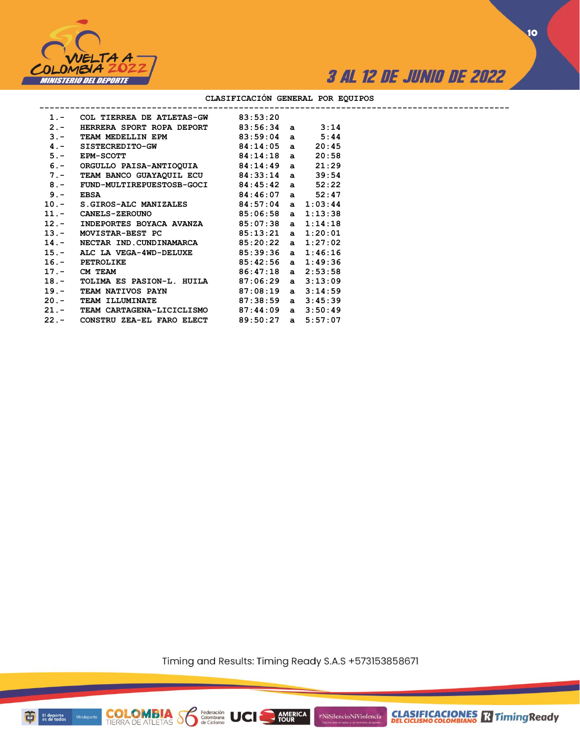



**10**

|       | 1.- COL TIERREA DE ATLETAS-GW 83:53:20                               |  |       |
|-------|----------------------------------------------------------------------|--|-------|
| $2 -$ | HERRERA SPORT ROPA DEPORT 83:56:34 a 3:14                            |  |       |
|       | 3.- TEAM MEDELLIN EPM 83:59:04 a 5:44                                |  |       |
|       | $4. -$ SISTECREDITO-GW 84:14:05 a                                    |  | 20:45 |
| $5 -$ | $EPM-SCOTT$ 84:14:18 a                                               |  | 20:58 |
|       | 6.- ORGULLO PAISA-ANTIOQUIA 84:14:49 a                               |  | 21:29 |
|       | 7.- TEAM BANCO GUAYAQUIL ECU 84:33:14 a                              |  | 39:54 |
|       | 8.- FUND-MULTIREPUESTOSB-GOCI 84:45:42 a 52:22                       |  |       |
|       | $84:46:07$ a $52:47$<br>$9 -$ EBSA                                   |  |       |
|       | 10.- S.GIROS-ALC MANIZALES 84:57:04 a 1:03:44                        |  |       |
|       | 11.- CANELS-ZEROUNO 85:06:58 a 1:13:38                               |  |       |
|       | 12.- INDEPORTES BOYACA AVANZA $85:07:38$ a $1:14:18$                 |  |       |
|       | 13.- MOVISTAR-BEST PC 85:13:21 a 1:20:01                             |  |       |
|       | 14.- NECTAR IND. CUNDINAMARCA 85:20:22 a 1:27:02                     |  |       |
|       | 15.- ALC LA VEGA-4WD-DELUXE 85:39:36 a 1:46:16                       |  |       |
|       | 16.- PETROLIKE 85:42:56 a 1:49:36<br>17.- CM TEAM 86:47:18 a 2:53:58 |  |       |
|       |                                                                      |  |       |
|       | 18.- TOLIMA ES PASION-L. HUILA 87:06:29 a 3:13:09                    |  |       |
|       | 19.- TEAM NATIVOS PAYN 87:08:19 a 3:14:59                            |  |       |
|       | 20.- TEAM ILLUMINATE 87:38:59 a 3:45:39                              |  |       |
|       | 21.- TEAM CARTAGENA-LICICLISMO 87:44:09 a 3:50:49                    |  |       |
|       | 22.- CONSTRU ZEA-EL FARO ELECT 89:50:27 a 5:57:07                    |  |       |
|       |                                                                      |  |       |

### **CLASIFICACIÓN GENERAL POR EQUIPOS**

Timing and Results: Timing Ready S.A.S +573153858671

**AMERICA** 

UCI

#NiSilencioNiViolencia



**COLOMBIA**<br>TIERRA DE ATLETAS **S** a Ciclismo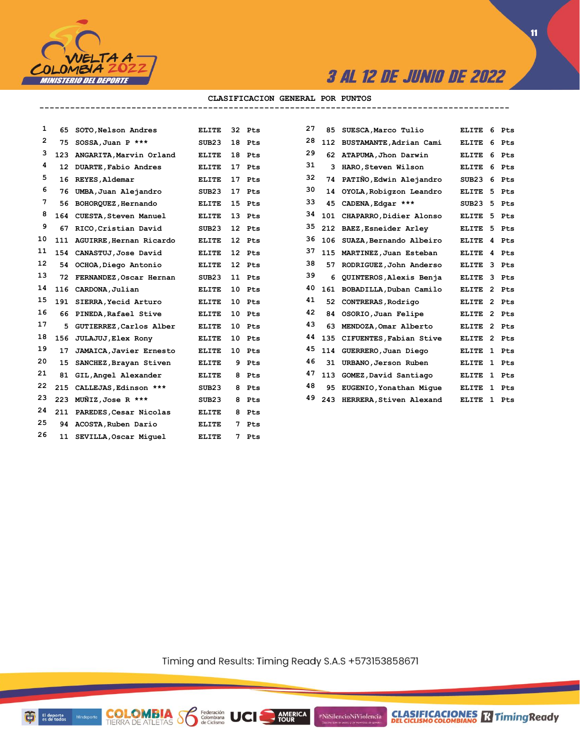

#### **CLASIFICACION GENERAL POR PUNTOS --------------------------------------------------------------------------------------------**

| 1  | 65  | SOTO, Nelson Andres         | <b>ELITE</b>      |   | 32 Pts | 27 |     | 85 SUESCA, Marco Tulio      | ELITE        | 6 | Pts   |
|----|-----|-----------------------------|-------------------|---|--------|----|-----|-----------------------------|--------------|---|-------|
| 2  | 75  | SOSSA, Juan P ***           | SUB <sub>23</sub> |   | 18 Pts | 28 |     | 112 BUSTAMANTE, Adrian Cami | ELITE        | 6 | Pts   |
| з  | 123 | ANGARITA.Marvin Orland      | <b>ELITE</b>      |   | 18 Pts | 29 |     | 62 ATAPUMA, Jhon Darwin     | <b>ELITE</b> | 6 | Pts   |
| 4  | 12  | DUARTE, Fabio Andres        | ELITE             |   | 17 Pts | 31 |     | 3 HARO, Steven Wilson       | <b>ELITE</b> | 6 | Pts   |
| 5  | 16  | REYES, Aldemar              | <b>ELITE</b>      |   | 17 Pts | 32 |     | 74 PATIÑO, Edwin Alejandro  | SUB23        | 6 | Pts   |
| 6  | 76  | UMBA, Juan Alejandro        | SUB <sub>23</sub> |   | 17 Pts | 30 | 14  | OYOLA, Robigzon Leandro     | <b>ELITE</b> | 5 | Pts   |
| 7  | 56  | BOHORQUEZ, Hernando         | <b>ELITE</b>      |   | 15 Pts | 33 | 45  | CADENA, Edgar ***           | SUB23        | 5 | Pts   |
| 8  | 164 | CUESTA, Steven Manuel       | <b>ELITE</b>      |   | 13 Pts | 34 |     | 101 CHAPARRO, Didier Alonso | ELITE        | 5 | Pts   |
| 9  | 67  | RICO, Cristian David        | SUB23             |   | 12 Pts | 35 |     | 212 BAEZ, Esneider Arley    | ELITE        |   | 5 Pts |
| 10 |     | 111 AGUIRRE, Hernan Ricardo | <b>ELITE</b>      |   | 12 Pts | 36 |     | 106 SUAZA, Bernando Albeiro | <b>ELITE</b> |   | 4 Pts |
| 11 | 154 | CANASTUJ, Jose David        | <b>ELITE</b>      |   | 12 Pts | 37 | 115 | MARTINEZ, Juan Esteban      | ELITE        |   | 4 Pts |
| 12 |     | 54 OCHOA, Diego Antonio     | <b>ELITE</b>      |   | 12 Pts | 38 |     | 57 RODRIGUEZ, John Anderso  | <b>ELITE</b> |   | 3 Pts |
| 13 | 72  | FERNANDEZ, Oscar Hernan     | SUB23             |   | 11 Pts | 39 | 6   | QUINTEROS, Alexis Benja     | <b>ELITE</b> |   | 3 Pts |
| 14 | 116 | CARDONA, Julian             | ELITE             |   | 10 Pts | 40 |     | 161 BOBADILLA, Duban Camilo | ELITE        |   | 2 Pts |
| 15 | 191 | SIERRA, Yecid Arturo        | <b>ELITE</b>      |   | 10 Pts | 41 | 52. | CONTRERAS, Rodrigo          | <b>ELITE</b> |   | 2 Pts |
| 16 | 66  | PINEDA, Rafael Stive        | <b>ELITE</b>      |   | 10 Pts | 42 | 84  | OSORIO, Juan Felipe         | <b>ELITE</b> |   | 2 Pts |
| 17 | 5.  | GUTIERREZ, Carlos Alber     | <b>ELITE</b>      |   | 10 Pts | 43 | 63  | MENDOZA, Omar Alberto       | <b>ELITE</b> |   | 2 Pts |
| 18 | 156 | JULAJUJ, Elex Rony          | <b>ELITE</b>      |   | 10 Pts | 44 | 135 | CIFUENTES, Fabian Stive     | <b>ELITE</b> |   | 2 Pts |
| 19 | 17  | JAMAICA, Javier Ernesto     | <b>ELITE</b>      |   | 10 Pts | 45 | 114 | GUERRERO, Juan Diego        | ELITE        |   | 1 Pts |
| 20 | 15  | SANCHEZ, Brayan Stiven      | <b>ELITE</b>      |   | 9 Pts  | 46 |     | 31 URBANO, Jerson Ruben     | <b>ELITE</b> |   | 1 Pts |
| 21 | 81  | GIL, Angel Alexander        | <b>ELITE</b>      |   | 8 Pts  | 47 | 113 | GOMEZ, David Santiago       | <b>ELITE</b> |   | 1 Pts |
| 22 | 215 | CALLEJAS, Edinson ***       | SUB <sub>23</sub> | 8 | Pts    | 48 | 95  | EUGENIO, Yonathan Mique     | <b>ELITE</b> |   | 1 Pts |
| 23 |     | 223 MUNIZ, Jose R ***       | SUB23             |   | 8 Pts  | 49 |     | 243 HERRERA, Stiven Alexand | <b>ELITE</b> |   | 1 Pts |
| 24 |     | 211 PAREDES, Cesar Nicolas  | <b>ELITE</b>      |   | 8 Pts  |    |     |                             |              |   |       |
| 25 | 94  | ACOSTA, Ruben Dario         | <b>ELITE</b>      |   | 7 Pts  |    |     |                             |              |   |       |
| 26 |     | 11 SEVILLA, Oscar Miquel    | <b>ELITE</b>      |   | 7 Pts  |    |     |                             |              |   |       |
|    |     |                             |                   |   |        |    |     |                             |              |   |       |

**COLOMBIA Se Ederación** UCI

| 27 | 85  | SUESCA, Marco Tulio     | <b>ELITE</b> | 6              | <b>Pts</b> |
|----|-----|-------------------------|--------------|----------------|------------|
| 28 | 112 | BUSTAMANTE, Adrian Cami | <b>ELITE</b> | 6              | <b>Pts</b> |
| 29 | 62  | ATAPUMA, Jhon Darwin    | <b>ELITE</b> | 6              | Pts        |
| 31 | 3   | HARO, Steven Wilson     | <b>ELITE</b> | 6              | Pts        |
| 32 | 74  | PATIÑO, Edwin Alejandro | SUB23        | 6              | Pts        |
| 30 | 14  | OYOLA, Robigzon Leandro | <b>ELITE</b> | 5              | Pts        |
| 33 | 45  | CADENA, Edgar ***       | SUB23        | 5              | Pts        |
| 34 | 101 | CHAPARRO, Didier Alonso | <b>ELITE</b> | 5              | Pts        |
| 35 | 212 | BAEZ, Esneider Arley    | <b>ELITE</b> | 5              | Pts        |
| 36 | 106 | SUAZA, Bernando Albeiro | <b>ELITE</b> | 4              | Pts        |
| 37 | 115 | MARTINEZ, Juan Esteban  | <b>ELITE</b> | 4              | Pts        |
| 38 | 57  | RODRIGUEZ, John Anderso | <b>ELITE</b> | 3              | Pts        |
| 39 | 6   | QUINTEROS, Alexis Benja | <b>ELITE</b> | 3              | Pts        |
| 40 | 161 | BOBADILLA, Duban Camilo | <b>ELITE</b> | $\overline{2}$ | Pts        |
| 41 | 52  | CONTRERAS, Rodrigo      | <b>ELITE</b> | $\overline{2}$ | Pts        |
| 42 | 84  | OSORIO, Juan Felipe     | <b>ELITE</b> | 2              | Pts        |
| 43 | 63  | MENDOZA.Omar Alberto    | <b>ELITE</b> | $\overline{2}$ | Pts        |
| 44 | 135 | CIFUENTES, Fabian Stive | <b>ELITE</b> | $\overline{2}$ | Pts        |
| 45 | 114 | GUERRERO, Juan Diego    | <b>ELITE</b> | 1              | Pts        |
| 46 | 31  | URBANO, Jerson Ruben    | <b>ELITE</b> | 1              | Pts        |
| 47 | 113 | GOMEZ, David Santiago   | <b>ELITE</b> | 1              | Pts        |
| 48 | 95  | EUGENIO, Yonathan Mique | <b>ELITE</b> | 1              | Pts        |
| 49 | 243 | HERRERA Stiven Alexand  | <b>ELITE</b> | $\mathbf{1}$   | Pts        |

Timing and Results: Timing Ready S.A.S +573153858671

AMERICA

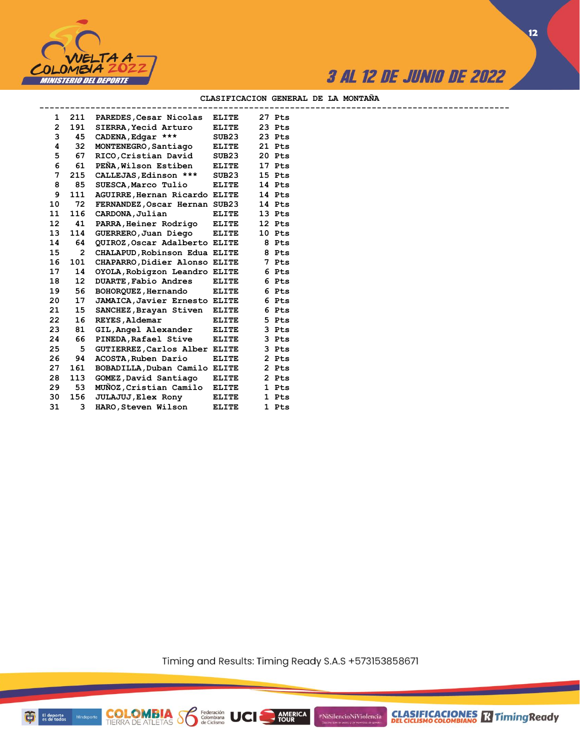

**12**

### **CLASIFICACION GENERAL DE LA MONTAÑA**

| 1               |                 | 211 PAREDES, Cesar Nicolas           | <b>ELITE</b> | 27 Pts |  |
|-----------------|-----------------|--------------------------------------|--------------|--------|--|
| $\mathbf{2}$    |                 | 191 SIERRA, Yecid Arturo             | <b>ELITE</b> | 23 Pts |  |
|                 | 3               | 45 CADENA, Edgar ***                 | SUB23        | 23 Pts |  |
| 4               | 32              | MONTENEGRO, Santiago                 | <b>ELITE</b> | 21 Pts |  |
| 5               | 67              | RICO, Cristian David                 | SUB23        | 20 Pts |  |
| 6               | 61              | PEÑA, Wilson Estiben                 | <b>ELITE</b> | 17 Pts |  |
| 7               | 215             | CALLEJAS, Edinson ***                | SUB23        | 15 Pts |  |
| 8               | 85              | SUESCA, Marco Tulio                  | <b>ELITE</b> | 14 Pts |  |
| 9               |                 | 111 AGUIRRE, Hernan Ricardo ELITE    |              | 14 Pts |  |
| 10              | 72              | FERNANDEZ, Oscar Hernan SUB23        |              | 14 Pts |  |
| 11              | 116             | CARDONA, Julian                      | <b>ELITE</b> | 13 Pts |  |
| 12 <sup>2</sup> | 41              | PARRA, Heiner Rodrigo ELITE          |              | 12 Pts |  |
| 13              | 114             | GUERRERO, Juan Diego                 | <b>ELITE</b> | 10 Pts |  |
| 14              | 64              | QUIROZ, Oscar Adalberto ELITE        |              | 8 Pts  |  |
| 15              | $\overline{2}$  | CHALAPUD, Robinson Edua ELITE        |              | 8 Pts  |  |
| 16              | 101             | CHAPARRO, Didier Alonso ELITE        |              | 7 Pts  |  |
| 17              | 14              | OYOLA, Robigzon Leandro ELITE        |              | 6 Pts  |  |
| 18              | 12              | DUARTE, Fabio Andres                 | <b>ELITE</b> | 6 Pts  |  |
| 19              | 56              | BOHORQUEZ, Hernando                  | <b>ELITE</b> | 6 Pts  |  |
| 20              | 17              | <b>JAMAICA, Javier Ernesto ELITE</b> |              | 6 Pts  |  |
| 21              | 15              | SANCHEZ, Brayan Stiven ELITE         |              | 6 Pts  |  |
| 22              | 16 <sup>°</sup> | <b>REYES, Aldemar</b>                | <b>ELITE</b> | 5 Pts  |  |
| 23              | 81              | GIL, Angel Alexander                 | <b>ELITE</b> | 3 Pts  |  |
| 24              | 66              | PINEDA, Rafael Stive                 | <b>ELITE</b> | 3 Pts  |  |
| 25              | 5               | GUTIERREZ, Carlos Alber ELITE        |              | 3 Pts  |  |
| 26              | 94              | ACOSTA, Ruben Dario                  | <b>ELITE</b> | 2 Pts  |  |
| 27              | 161             | BOBADILLA, Duban Camilo ELITE        |              | 2 Pts  |  |
| 28              | 113             | GOMEZ, David Santiago                | <b>ELITE</b> | 2 Pts  |  |
| 29              | 53              | MUNOZ, Cristian Camilo               | <b>ELITE</b> | 1 Pts  |  |
| 30              | 156             | JULAJUJ, Elex Rony                   | <b>ELITE</b> | 1 Pts  |  |
| 31              | 3               | HARO, Steven Wilson                  | <b>ELITE</b> | 1 Pts  |  |
|                 |                 |                                      |              |        |  |

**COLOMBIA Se Ederación** UCI

Timing and Results: Timing Ready S.A.S +573153858671

AMERICA

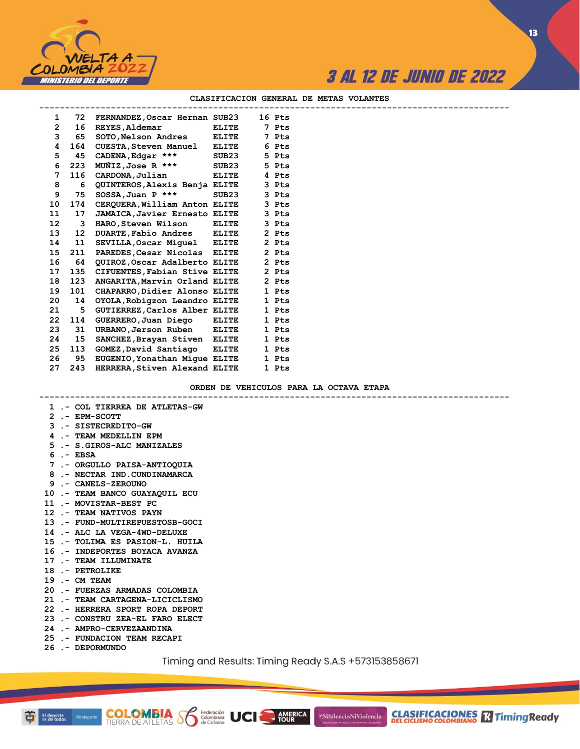

**13**

|                 |     |                                      |              | CHASIFICACION GENERAL DE MEIAS VOLANIES |
|-----------------|-----|--------------------------------------|--------------|-----------------------------------------|
| 1               | 72  | FERNANDEZ, Oscar Hernan SUB23 16 Pts |              |                                         |
| $\overline{2}$  | 16  | <b>REYES, Aldemar</b>                | <b>ELITE</b> | 7 Pts                                   |
| 3               | 65  | SOTO, Nelson Andres ELITE            |              | 7 Pts                                   |
| 4               | 164 | CUESTA, Steven Manuel ELITE          |              | 6 Pts                                   |
| 5               | 45  | CADENA, Edgar ***                    | SUB23        | 5 Pts                                   |
| 6               | 223 | MUÑIZ,Jose R ***                     | SUB23        | 5 Pts                                   |
| 7               | 116 | CARDONA, Julian                      | <b>ELITE</b> | 4 Pts                                   |
| 8               | 6   | QUINTEROS, Alexis Benja ELITE        |              | 3 Pts                                   |
| 9               | 75  | $SOSSA$ , Juan P ***                 | SUB23        | 3 Pts                                   |
| 10              | 174 | CERQUERA, William Anton ELITE        |              | 3 Pts                                   |
| 11              | 17  | <b>JAMAICA, Javier Ernesto ELITE</b> |              | 3 Pts                                   |
| 12 <sup>°</sup> | 3   | HARO,Steven Wilson                   | <b>ELITE</b> | 3 Pts                                   |
| 13              | 12  | DUARTE, Fabio Andres ELITE           |              | 2 Pts                                   |
| 14              | 11  | SEVILLA, Oscar Miquel ELITE          |              | 2 Pts                                   |
| 15              | 211 | PAREDES, Cesar Nicolas ELITE         |              | 2 Pts                                   |
| 16              | 64  | QUIROZ,Oscar Adalberto ELITE         |              | 2 Pts                                   |
| 17              | 135 | CIFUENTES, Fabian Stive ELITE        |              | 2 Pts                                   |
| 18              | 123 | ANGARITA, Marvin Orland ELITE        |              | 2 Pts                                   |
| 19              | 101 | CHAPARRO, Didier Alonso ELITE        |              | 1 Pts                                   |
| 20              | 14  | OYOLA, Robigzon Leandro ELITE        |              | 1 Pts                                   |
| 21              | 5.  | GUTIERREZ, Carlos Alber ELITE        |              | 1 Pts                                   |
| 22              | 114 | GUERRERO, Juan Diego                 | <b>ELITE</b> | 1 Pts                                   |

#### **CLASIFICACION GENERAL DE METAS VOLANTES**

**ORDEN DE VEHICULOS PARA LA OCTAVA ETAPA**

|  | 1 .- COL TIERREA DE ATLETAS-GW                                                                                                                                                    |
|--|-----------------------------------------------------------------------------------------------------------------------------------------------------------------------------------|
|  | 2 .- EPM-SCOTT                                                                                                                                                                    |
|  | 3 .- SISTECREDITO-GW                                                                                                                                                              |
|  | 4 .- TEAM MEDELLIN EPM                                                                                                                                                            |
|  | 5 .- S. GIROS-ALC MANIZALES                                                                                                                                                       |
|  | $6 - EBSA$                                                                                                                                                                        |
|  | 7 .- ORGULLO PAISA-ANTIOQUIA                                                                                                                                                      |
|  | 8 .- NECTAR IND.CUNDINAMARCA                                                                                                                                                      |
|  | 9 .- CANELS-ZEROUNO                                                                                                                                                               |
|  | 10 .- TEAM BANCO GUAYAQUIL ECU                                                                                                                                                    |
|  | 11 .- MOVISTAR-BEST PC                                                                                                                                                            |
|  | 12 .- TEAM NATIVOS PAYN                                                                                                                                                           |
|  | 13 .- FUND-MULTIREPUESTOSB-GOCI                                                                                                                                                   |
|  | 14 .- ALC LA VEGA-4WD-DELUXE                                                                                                                                                      |
|  | 15 .- TOLIMA ES PASION-L. HUILA                                                                                                                                                   |
|  | 16 .- INDEPORTES BOYACA AVANZA                                                                                                                                                    |
|  | 17 .- TEAM ILLUMINATE                                                                                                                                                             |
|  | 18 .- PETROLIKE                                                                                                                                                                   |
|  | $19 - CM$ TEAM                                                                                                                                                                    |
|  | 20 .- FUERZAS ARMADAS COLOMBIA                                                                                                                                                    |
|  | 21 .- TEAM CARTAGENA-LICICLISMO                                                                                                                                                   |
|  | 22 .- HERRERA SPORT ROPA DEPORT                                                                                                                                                   |
|  | 23 .- CONSTRU ZEA-EL FARO ELECT                                                                                                                                                   |
|  | 24 .- AMPRO-CERVEZAANDINA                                                                                                                                                         |
|  | 25 .- FUNDACION TEAM RECAPI                                                                                                                                                       |
|  | 26 .- DEPORMUNDO                                                                                                                                                                  |
|  | $T_{\text{max}}^{\text{t}}$ , and $D_{\text{max}}$ its $T_{\text{max}}^{\text{t}}$ , $D_{\text{max}}$ , $D_{\text{max}}$ , $D_{\text{max}}$ , $D_{\text{max}}$ , $D_{\text{max}}$ |

**COLOMBIA Se Federación** UCI

 **23 31 URBANO,Jerson Ruben ELITE 1 Pts 24 15 SANCHEZ,Brayan Stiven ELITE 1 Pts 25 113 GOMEZ,David Santiago ELITE 1 Pts 26 95 EUGENIO,Yonathan Migue ELITE 1 Pts 27 243 HERRERA,Stiven Alexand ELITE 1 Pts**

AMERICA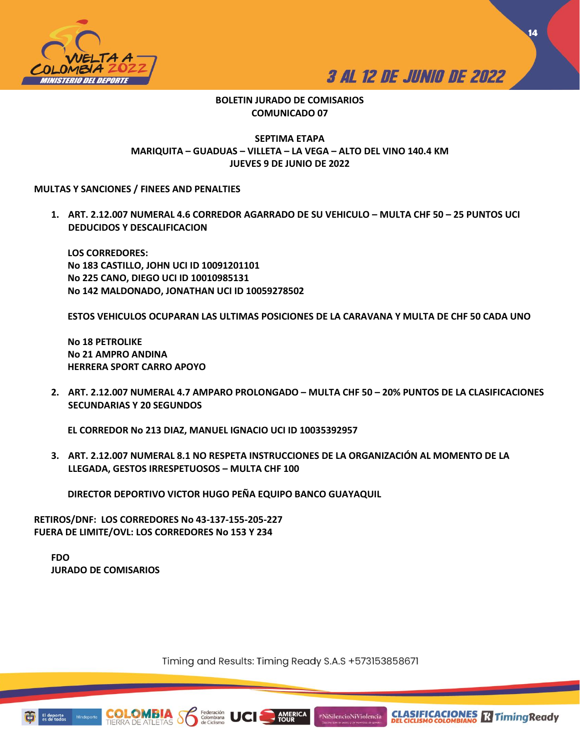



**CLASIFICACIONES**<br>DEL CICLISMO COLOMBIANO **RADIMICAL TRADUCTION** 

**14**

## **BOLETIN JURADO DE COMISARIOS COMUNICADO 07**

## **SEPTIMA ETAPA MARIQUITA – GUADUAS – VILLETA – LA VEGA – ALTO DEL VINO 140.4 KM JUEVES 9 DE JUNIO DE 2022**

## **MULTAS Y SANCIONES / FINEES AND PENALTIES**

**1. ART. 2.12.007 NUMERAL 4.6 CORREDOR AGARRADO DE SU VEHICULO – MULTA CHF 50 – 25 PUNTOS UCI DEDUCIDOS Y DESCALIFICACION**

**LOS CORREDORES: No 183 CASTILLO, JOHN UCI ID 10091201101 No 225 CANO, DIEGO UCI ID 10010985131 No 142 MALDONADO, JONATHAN UCI ID 10059278502**

**ESTOS VEHICULOS OCUPARAN LAS ULTIMAS POSICIONES DE LA CARAVANA Y MULTA DE CHF 50 CADA UNO**

**No 18 PETROLIKE No 21 AMPRO ANDINA HERRERA SPORT CARRO APOYO**

**2. ART. 2.12.007 NUMERAL 4.7 AMPARO PROLONGADO – MULTA CHF 50 – 20% PUNTOS DE LA CLASIFICACIONES SECUNDARIAS Y 20 SEGUNDOS**

**EL CORREDOR No 213 DIAZ, MANUEL IGNACIO UCI ID 10035392957**

**3. ART. 2.12.007 NUMERAL 8.1 NO RESPETA INSTRUCCIONES DE LA ORGANIZACIÓN AL MOMENTO DE LA LLEGADA, GESTOS IRRESPETUOSOS – MULTA CHF 100** 

**DIRECTOR DEPORTIVO VICTOR HUGO PEÑA EQUIPO BANCO GUAYAQUIL** 

**RETIROS/DNF: LOS CORREDORES No 43-137-155-205-227 FUERA DE LIMITE/OVL: LOS CORREDORES No 153 Y 234**

**FDO JURADO DE COMISARIOS**

Timing and Results: Timing Ready S.A.S +573153858671

**AMERICA**<br>TOUR

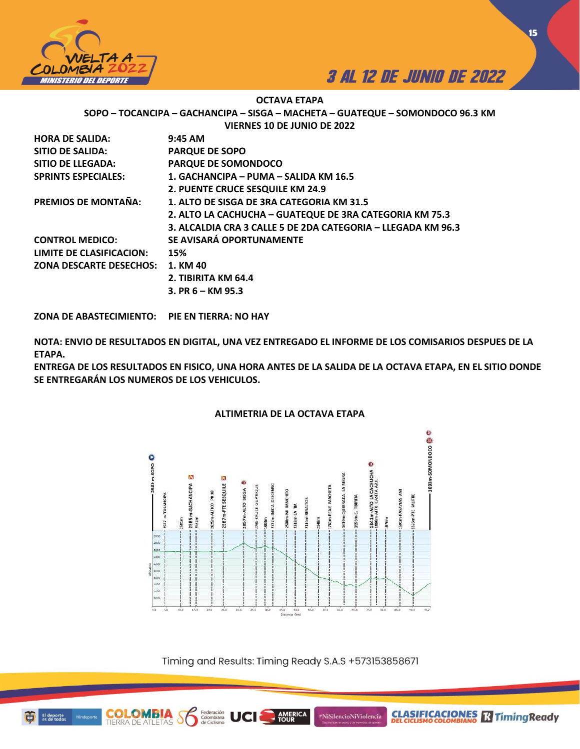



**CLASIFICACIONES Relationship Ready** 

**15**

## **OCTAVA ETAPA**

**SOPO – TOCANCIPA – GACHANCIPA – SISGA – MACHETA – GUATEQUE – SOMONDOCO 96.3 KM**

**VIERNES 10 DE JUNIO DE 2022**

| <b>HORA DE SALIDA:</b>          | $9:45$ AM                                                    |
|---------------------------------|--------------------------------------------------------------|
| SITIO DE SALIDA:                | <b>PARQUE DE SOPO</b>                                        |
| SITIO DE LLEGADA:               | PARQUE DE SOMONDOCO                                          |
| <b>SPRINTS ESPECIALES:</b>      | 1. GACHANCIPA - PUMA - SALIDA KM 16.5                        |
|                                 | 2. PUENTE CRUCE SESQUILE KM 24.9                             |
| <b>PREMIOS DE MONTAÑA:</b>      | 1. ALTO DE SISGA DE 3RA CATEGORIA KM 31.5                    |
|                                 | 2. ALTO LA CACHUCHA - GUATEQUE DE 3RA CATEGORIA KM 75.3      |
|                                 | 3. ALCALDIA CRA 3 CALLE 5 DE 2DA CATEGORIA - LLEGADA KM 96.3 |
| <b>CONTROL MEDICO:</b>          | SE AVISARÁ OPORTUNAMENTE                                     |
| <b>LIMITE DE CLASIFICACION:</b> | 15%                                                          |
| <b>ZONA DESCARTE DESECHOS:</b>  | 1. KM 40                                                     |
|                                 | 2. TIBIRITA KM 64.4                                          |
|                                 | 3. PR $6 - KM$ 95.3                                          |
|                                 |                                                              |

**ZONA DE ABASTECIMIENTO: PIE EN TIERRA: NO HAY** 

**NOTA: ENVIO DE RESULTADOS EN DIGITAL, UNA VEZ ENTREGADO EL INFORME DE LOS COMISARIOS DESPUES DE LA ETAPA.** 

**ENTREGA DE LOS RESULTADOS EN FISICO, UNA HORA ANTES DE LA SALIDA DE LA OCTAVA ETAPA, EN EL SITIO DONDE SE ENTREGARÁN LOS NUMEROS DE LOS VEHICULOS.** 



## **ALTIMETRIA DE LA OCTAVA ETAPA**

Timing and Results: Timing Ready S.A.S +573153858671

**AMERICA**<br>TOUR

#NiSilencioNiViolencia

Federación<br>Colombiana<br>de Ciclismo

**COLOMBIA**<br>TIERRA DE ATLETAS

Minde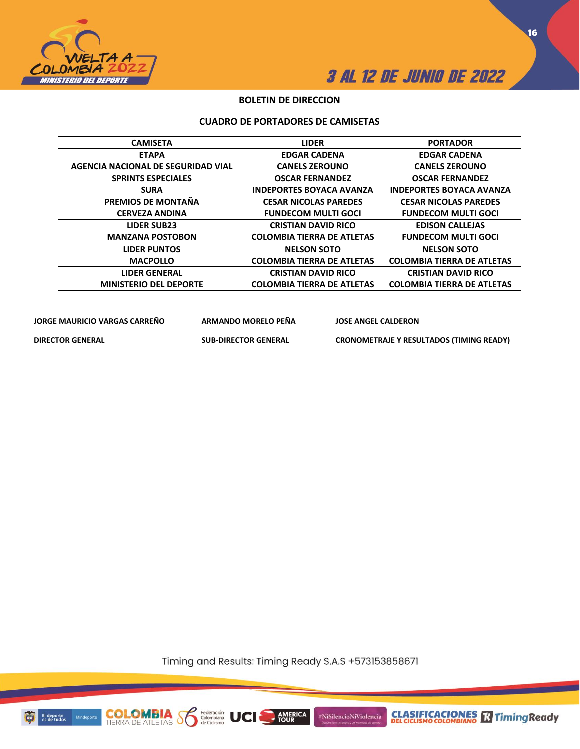



## **BOLETIN DE DIRECCION**

## **CUADRO DE PORTADORES DE CAMISETAS**

| <b>CAMISETA</b>                    | <b>LIDER</b>                      | <b>PORTADOR</b>                   |
|------------------------------------|-----------------------------------|-----------------------------------|
| <b>ETAPA</b>                       | <b>EDGAR CADENA</b>               | <b>EDGAR CADENA</b>               |
| AGENCIA NACIONAL DE SEGURIDAD VIAL | <b>CANELS ZEROUNO</b>             | <b>CANELS ZEROUNO</b>             |
| <b>SPRINTS ESPECIALES</b>          | <b>OSCAR FERNANDEZ</b>            | <b>OSCAR FERNANDEZ</b>            |
| <b>SURA</b>                        | <b>INDEPORTES BOYACA AVANZA</b>   | <b>INDEPORTES BOYACA AVANZA</b>   |
| PREMIOS DE MONTAÑA                 | <b>CESAR NICOLAS PAREDES</b>      | <b>CESAR NICOLAS PAREDES</b>      |
| <b>CERVEZA ANDINA</b>              | <b>FUNDECOM MULTI GOCI</b>        | <b>FUNDECOM MULTI GOCI</b>        |
| <b>LIDER SUB23</b>                 | <b>CRISTIAN DAVID RICO</b>        | <b>EDISON CALLEJAS</b>            |
| <b>MANZANA POSTOBON</b>            | <b>COLOMBIA TIERRA DE ATLETAS</b> | <b>FUNDECOM MULTI GOCI</b>        |
| <b>LIDER PUNTOS</b>                | <b>NELSON SOTO</b>                | <b>NELSON SOTO</b>                |
| <b>MACPOLLO</b>                    | <b>COLOMBIA TIERRA DE ATLETAS</b> | <b>COLOMBIA TIERRA DE ATLETAS</b> |
| <b>LIDER GENERAL</b>               | <b>CRISTIAN DAVID RICO</b>        | <b>CRISTIAN DAVID RICO</b>        |
| <b>MINISTERIO DEL DEPORTE</b>      | <b>COLOMBIA TIERRA DE ATLETAS</b> | <b>COLOMBIA TIERRA DE ATLETAS</b> |

**JORGE MAURICIO VARGAS CARREÑO ARMANDO MORELO PEÑA JOSE ANGEL CALDERON**

**DIRECTOR GENERAL SUB-DIRECTOR GENERAL CRONOMETRAJE Y RESULTADOS (TIMING READY)**

Timing and Results: Timing Ready S.A.S +573153858671

AMERICA

#NiSilencioNiViolencia



**COLOMBI**<br>TIERRA DE ATLET

Federación<br>Colombiana<br>de Ciclismo

UCI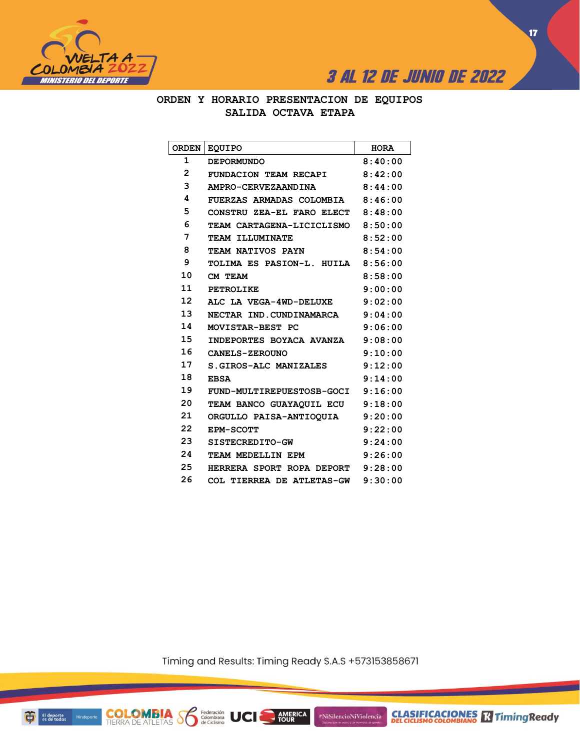



**ORDEN Y HORARIO PRESENTACION DE EQUIPOS SALIDA OCTAVA ETAPA**

| <b>ORDEN</b>   | <b>EOUIPO</b>             | <b>HORA</b> |
|----------------|---------------------------|-------------|
| 1              | <b>DEPORMUNDO</b>         | 8:40:00     |
| $\overline{2}$ | FUNDACION TEAM RECAPI     | 8:42:00     |
| 3              | AMPRO-CERVEZAANDINA       | 8:44:00     |
| 4              | FUERZAS ARMADAS COLOMBIA  | 8:46:00     |
| 5              | CONSTRU ZEA-EL FARO ELECT | 8:48:00     |
| 6              | TEAM CARTAGENA-LICICLISMO | 8:50:00     |
| 7              | <b>TEAM ILLUMINATE</b>    | 8:52:00     |
| 8              | TEAM NATIVOS PAYN         | 8:54:00     |
| 9              | TOLIMA ES PASION-L. HUILA | 8:56:00     |
| 10             | CM TEAM                   | 8:58:00     |
| 11             | <b>PETROLIKE</b>          | 9:00:00     |
| 12             | ALC LA VEGA-4WD-DELUXE    | 9:02:00     |
| 13             | NECTAR IND.CUNDINAMARCA   | 9:04:00     |
| 14             | MOVISTAR-BEST PC          | 9:06:00     |
| 15             | INDEPORTES BOYACA AVANZA  | 9:08:00     |
| 16             | <b>CANELS-ZEROUNO</b>     | 9:10:00     |
| 17             | S. GIROS-ALC MANIZALES    | 9:12:00     |
| 18             | <b>EBSA</b>               | 9:14:00     |
| 19             | FUND-MULTIREPUESTOSB-GOCI | 9:16:00     |
| 20             | TEAM BANCO GUAYAQUIL ECU  | 9:18:00     |
| 21             | ORGULLO PAISA-ANTIOQUIA   | 9:20:00     |
| 22             | <b>EPM-SCOTT</b>          | 9:22:00     |
| 23             | SISTECREDITO-GW           | 9:24:00     |
| 24             | TEAM MEDELLIN EPM         | 9:26:00     |
| 25             | HERRERA SPORT ROPA DEPORT | 9:28:00     |
| 26             | COL TIERREA DE ATLETAS-GW | 9:30:00     |

Timing and Results: Timing Ready S.A.S +573153858671

AMERICA

#NiSilencioNiViolencia

**COLOMBIA Se Ederación** UCI

**CLASIFICACIONES** TimingReady